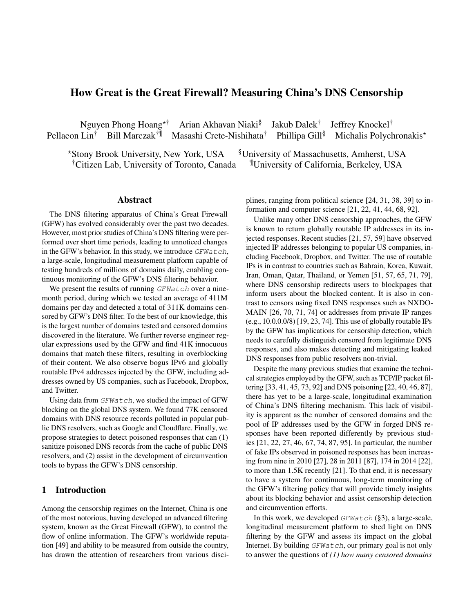# How Great is the Great Firewall? Measuring China's DNS Censorship

Nguyen Phong Hoang<sup>\*†</sup> Arian Akhavan Niaki<sup>§</sup> Jakub Dalek<sup>†</sup> Jeffrey Knockel† Pellaeon Lin<sup>†</sup> Bill Marczak<sup>†¶</sup> Masashi Crete-Nishihata<sup>†</sup> Phillipa Gill<sup>§</sup> Michalis Polychronakis<sup>\*</sup>

\*Stony Brook University, New York, USA <sup>§</sup>University of Massachusetts, Amherst, USA †Citizen Lab, University of Toronto, Canada ¶University of California, Berkeley, USA

### Abstract

The DNS filtering apparatus of China's Great Firewall (GFW) has evolved considerably over the past two decades. However, most prior studies of China's DNS filtering were performed over short time periods, leading to unnoticed changes in the GFW's behavior. In this study, we introduce  $GFWatch$ , a large-scale, longitudinal measurement platform capable of testing hundreds of millions of domains daily, enabling continuous monitoring of the GFW's DNS filtering behavior.

We present the results of running  $GFWatch$  over a ninemonth period, during which we tested an average of 411M domains per day and detected a total of 311K domains censored by GFW's DNS filter. To the best of our knowledge, this is the largest number of domains tested and censored domains discovered in the literature. We further reverse engineer regular expressions used by the GFW and find 41K innocuous domains that match these filters, resulting in overblocking of their content. We also observe bogus IPv6 and globally routable IPv4 addresses injected by the GFW, including addresses owned by US companies, such as Facebook, Dropbox, and Twitter.

Using data from  $GFWatch$ , we studied the impact of GFW blocking on the global DNS system. We found 77K censored domains with DNS resource records polluted in popular public DNS resolvers, such as Google and Cloudflare. Finally, we propose strategies to detect poisoned responses that can (1) sanitize poisoned DNS records from the cache of public DNS resolvers, and (2) assist in the development of circumvention tools to bypass the GFW's DNS censorship.

### 1 Introduction

Among the censorship regimes on the Internet, China is one of the most notorious, having developed an advanced filtering system, known as the Great Firewall (GFW), to control the flow of online information. The GFW's worldwide reputation [\[49\]](#page-14-0) and ability to be measured from outside the country, has drawn the attention of researchers from various disciplines, ranging from political science [\[24,](#page-13-0) [31,](#page-13-1) [38,](#page-13-2) [39\]](#page-14-1) to information and computer science [\[21,](#page-13-3) [22,](#page-13-4) [41,](#page-14-2) [44,](#page-14-3) [68,](#page-14-4) [92\]](#page-15-0).

Unlike many other DNS censorship approaches, the GFW is known to return globally routable IP addresses in its injected responses. Recent studies [\[21,](#page-13-3) [57,](#page-14-5) [59\]](#page-14-6) have observed injected IP addresses belonging to popular US companies, including Facebook, Dropbox, and Twitter. The use of routable IPs is in contrast to countries such as Bahrain, Korea, Kuwait, Iran, Oman, Qatar, Thailand, or Yemen [\[51,](#page-14-7) [57,](#page-14-5) [65,](#page-14-8) [71,](#page-14-9) [79\]](#page-15-1), where DNS censorship redirects users to blockpages that inform users about the blocked content. It is also in contrast to censors using fixed DNS responses such as NXDO-MAIN [\[26,](#page-13-5) [70,](#page-14-10) [71,](#page-14-9) [74\]](#page-14-11) or addresses from private IP ranges (e.g., 10.0.0.0/8) [\[19,](#page-13-6) [23,](#page-13-7) [74\]](#page-14-11). This use of globally routable IPs by the GFW has implications for censorship detection, which needs to carefully distinguish censored from legitimate DNS responses, and also makes detecting and mitigating leaked DNS responses from public resolvers non-trivial.

Despite the many previous studies that examine the technical strategies employed by the GFW, such as TCP/IP packet filtering [\[33,](#page-13-8) [41,](#page-14-2) [45,](#page-14-12) [73,](#page-14-13) [92\]](#page-15-0) and DNS poisoning [\[22,](#page-13-4) [40,](#page-14-14) [46,](#page-14-15) [87\]](#page-15-2), there has yet to be a large-scale, longitudinal examination of China's DNS filtering mechanism. This lack of visibility is apparent as the number of censored domains and the pool of IP addresses used by the GFW in forged DNS responses have been reported differently by previous studies [\[21,](#page-13-3) [22,](#page-13-4) [27,](#page-13-9) [46,](#page-14-15) [67,](#page-14-16) [74,](#page-14-11) [87,](#page-15-2) [95\]](#page-15-3). In particular, the number of fake IPs observed in poisoned responses has been increasing from nine in 2010 [\[27\]](#page-13-9), 28 in 2011 [\[87\]](#page-15-2), 174 in 2014 [\[22\]](#page-13-4), to more than 1.5K recently [\[21\]](#page-13-3). To that end, it is necessary to have a system for continuous, long-term monitoring of the GFW's filtering policy that will provide timely insights about its blocking behavior and assist censorship detection and circumvention efforts.

In this work, we developed  $GFWatch$  ([§3\)](#page-1-0), a large-scale, longitudinal measurement platform to shed light on DNS filtering by the GFW and assess its impact on the global Internet. By building GFWatch, our primary goal is not only to answer the questions of *(1) how many censored domains*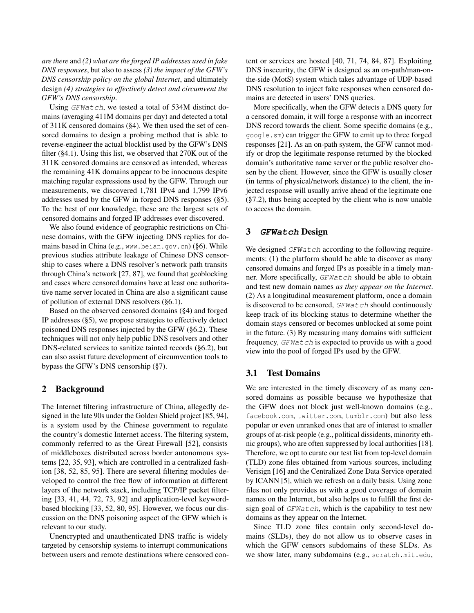*are there* and *(2) what are the forged IP addresses used in fake DNS responses*, but also to assess *(3) the impact of the GFW's DNS censorship policy on the global Internet*, and ultimately design *(4) strategies to effectively detect and circumvent the GFW's DNS censorship*.

Using GFWatch, we tested a total of 534M distinct domains (averaging 411M domains per day) and detected a total of 311K censored domains ([§4\)](#page-2-0). We then used the set of censored domains to design a probing method that is able to reverse-engineer the actual blocklist used by the GFW's DNS filter ([§4.1\)](#page-3-0). Using this list, we observed that 270K out of the 311K censored domains are censored as intended, whereas the remaining 41K domains appear to be innocuous despite matching regular expressions used by the GFW. Through our measurements, we discovered 1,781 IPv4 and 1,799 IPv6 addresses used by the GFW in forged DNS responses ([§5\)](#page-5-0). To the best of our knowledge, these are the largest sets of censored domains and forged IP addresses ever discovered.

We also found evidence of geographic restrictions on Chinese domains, with the GFW injecting DNS replies for domains based in China (e.g., www.beian.gov.cn) ([§6\)](#page-7-0). While previous studies attribute leakage of Chinese DNS censorship to cases where a DNS resolver's network path transits through China's network [\[27,](#page-13-9) [87\]](#page-15-2), we found that geoblocking and cases where censored domains have at least one authoritative name server located in China are also a significant cause of pollution of external DNS resolvers ([§6.1\)](#page-7-1).

Based on the observed censored domains ([§4\)](#page-2-0) and forged IP addresses ([§5\)](#page-5-0), we propose strategies to effectively detect poisoned DNS responses injected by the GFW ([§6.2\)](#page-8-0). These techniques will not only help public DNS resolvers and other DNS-related services to sanitize tainted records ([§6.2\)](#page-8-0), but can also assist future development of circumvention tools to bypass the GFW's DNS censorship ([§7\)](#page-9-0).

### 2 Background

The Internet filtering infrastructure of China, allegedly designed in the late 90s under the Golden Shield project [\[85,](#page-15-4) [94\]](#page-15-5), is a system used by the Chinese government to regulate the country's domestic Internet access. The filtering system, commonly referred to as the Great Firewall [\[52\]](#page-14-17), consists of middleboxes distributed across border autonomous systems [\[22,](#page-13-4) [35,](#page-13-10) [93\]](#page-15-6), which are controlled in a centralized fashion [\[38,](#page-13-2) [52,](#page-14-17) [85,](#page-15-4) [95\]](#page-15-3). There are several filtering modules developed to control the free flow of information at different layers of the network stack, including TCP/IP packet filtering [\[33,](#page-13-8) [41,](#page-14-2) [44,](#page-14-3) [72,](#page-14-18) [73,](#page-14-13) [92\]](#page-15-0) and application-level keywordbased blocking [\[33,](#page-13-8) [52,](#page-14-17) [80,](#page-15-7) [95\]](#page-15-3). However, we focus our discussion on the DNS poisoning aspect of the GFW which is relevant to our study.

Unencrypted and unauthenticated DNS traffic is widely targeted by censorship systems to interrupt communications between users and remote destinations where censored content or services are hosted [\[40,](#page-14-14) [71,](#page-14-9) [74,](#page-14-11) [84,](#page-15-8) [87\]](#page-15-2). Exploiting DNS insecurity, the GFW is designed as an on-path/man-onthe-side (MotS) system which takes advantage of UDP-based DNS resolution to inject fake responses when censored domains are detected in users' DNS queries.

More specifically, when the GFW detects a DNS query for a censored domain, it will forge a response with an incorrect DNS record towards the client. Some specific domains (e.g., google.sm) can trigger the GFW to emit up to three forged responses [\[21\]](#page-13-3). As an on-path system, the GFW cannot modify or drop the legitimate response returned by the blocked domain's authoritative name server or the public resolver chosen by the client. However, since the GFW is usually closer (in terms of physical/network distance) to the client, the injected response will usually arrive ahead of the legitimate one ([§7.2\)](#page-9-1), thus being accepted by the client who is now unable to access the domain.

### <span id="page-1-0"></span>3 **GFWatch** Design

We designed  $GFWatch$  according to the following requirements: (1) the platform should be able to discover as many censored domains and forged IPs as possible in a timely manner. More specifically, GFWatch should be able to obtain and test new domain names *as they appear on the Internet*. (2) As a longitudinal measurement platform, once a domain is discovered to be censored, GFWatch should continuously keep track of its blocking status to determine whether the domain stays censored or becomes unblocked at some point in the future. (3) By measuring many domains with sufficient frequency, GFWatch is expected to provide us with a good view into the pool of forged IPs used by the GFW.

#### 3.1 Test Domains

We are interested in the timely discovery of as many censored domains as possible because we hypothesize that the GFW does not block just well-known domains (e.g., facebook.com, twitter.com, tumblr.com) but also less popular or even unranked ones that are of interest to smaller groups of at-risk people (e.g., political dissidents, minority ethnic groups), who are often suppressed by local authorities [\[18\]](#page-13-11). Therefore, we opt to curate our test list from top-level domain (TLD) zone files obtained from various sources, including Verisign [\[16\]](#page-13-12) and the Centralized Zone Data Service operated by ICANN [\[5\]](#page-13-13), which we refresh on a daily basis. Using zone files not only provides us with a good coverage of domain names on the Internet, but also helps us to fulfill the first design goal of  $GFWatch$ , which is the capability to test new domains as they appear on the Internet.

Since TLD zone files contain only second-level domains (SLDs), they do not allow us to observe cases in which the GFW censors subdomains of these SLDs. As we show later, many subdomains (e.g., scratch.mit.edu,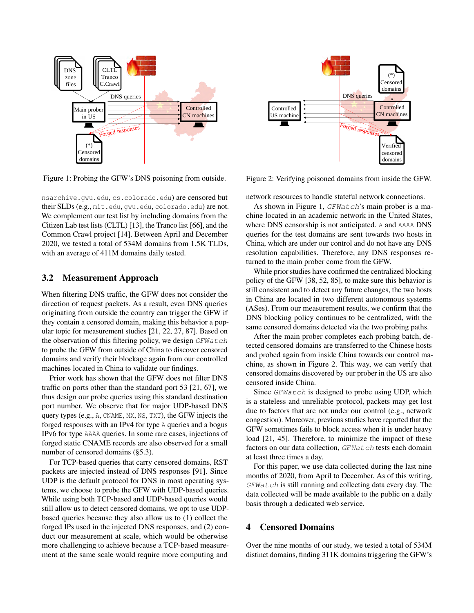<span id="page-2-1"></span>

Figure 1: Probing the GFW's DNS poisoning from outside.

nsarchive.gwu.edu, cs.colorado.edu) are censored but their SLDs (e.g., mit.edu, gwu.edu, colorado.edu) are not. We complement our test list by including domains from the Citizen Lab test lists (CLTL) [\[13\]](#page-13-14), the Tranco list [\[66\]](#page-14-19), and the Common Crawl project [\[14\]](#page-13-15). Between April and December 2020, we tested a total of 534M domains from 1.5K TLDs, with an average of 411M domains daily tested.

#### 3.2 Measurement Approach

When filtering DNS traffic, the GFW does not consider the direction of request packets. As a result, even DNS queries originating from outside the country can trigger the GFW if they contain a censored domain, making this behavior a popular topic for measurement studies [\[21,](#page-13-3) [22,](#page-13-4) [27,](#page-13-9) [87\]](#page-15-2). Based on the observation of this filtering policy, we design  $GFWatch$ to probe the GFW from outside of China to discover censored domains and verify their blockage again from our controlled machines located in China to validate our findings.

Prior work has shown that the GFW does not filter DNS traffic on ports other than the standard port 53 [\[21,](#page-13-3) [67\]](#page-14-16), we thus design our probe queries using this standard destination port number. We observe that for major UDP-based DNS query types (e.g., A, CNAME, MX, NS, TXT), the GFW injects the forged responses with an IPv4 for type A queries and a bogus IPv6 for type AAAA queries. In some rare cases, injections of forged static CNAME records are also observed for a small number of censored domains ([§5.3\)](#page-6-0).

For TCP-based queries that carry censored domains, RST packets are injected instead of DNS responses [\[91\]](#page-15-9). Since UDP is the default protocol for DNS in most operating systems, we choose to probe the GFW with UDP-based queries. While using both TCP-based and UDP-based queries would still allow us to detect censored domains, we opt to use UDPbased queries because they also allow us to (1) collect the forged IPs used in the injected DNS responses, and (2) conduct our measurement at scale, which would be otherwise more challenging to achieve because a TCP-based measurement at the same scale would require more computing and

<span id="page-2-2"></span>

Figure 2: Verifying poisoned domains from inside the GFW.

network resources to handle stateful network connections.

As shown in Figure [1,](#page-2-1) GFWatch's main prober is a machine located in an academic network in the United States, where DNS censorship is not anticipated. A and AAAA DNS queries for the test domains are sent towards two hosts in China, which are under our control and do not have any DNS resolution capabilities. Therefore, any DNS responses returned to the main prober come from the GFW.

While prior studies have confirmed the centralized blocking policy of the GFW [\[38,](#page-13-2) [52,](#page-14-17) [85\]](#page-15-4), to make sure this behavior is still consistent and to detect any future changes, the two hosts in China are located in two different autonomous systems (ASes). From our measurement results, we confirm that the DNS blocking policy continues to be centralized, with the same censored domains detected via the two probing paths.

After the main prober completes each probing batch, detected censored domains are transferred to the Chinese hosts and probed again from inside China towards our control machine, as shown in Figure [2.](#page-2-2) This way, we can verify that censored domains discovered by our prober in the US are also censored inside China.

Since GFWatch is designed to probe using UDP, which is a stateless and unreliable protocol, packets may get lost due to factors that are not under our control (e.g., network congestion). Moreover, previous studies have reported that the GFW sometimes fails to block access when it is under heavy load [\[21,](#page-13-3) [45\]](#page-14-12). Therefore, to minimize the impact of these factors on our data collection, GFWatch tests each domain at least three times a day.

For this paper, we use data collected during the last nine months of 2020, from April to December. As of this writing,  $GFWat$  is still running and collecting data every day. The data collected will be made available to the public on a daily basis through a dedicated web service.

### <span id="page-2-0"></span>4 Censored Domains

Over the nine months of our study, we tested a total of 534M distinct domains, finding 311K domains triggering the GFW's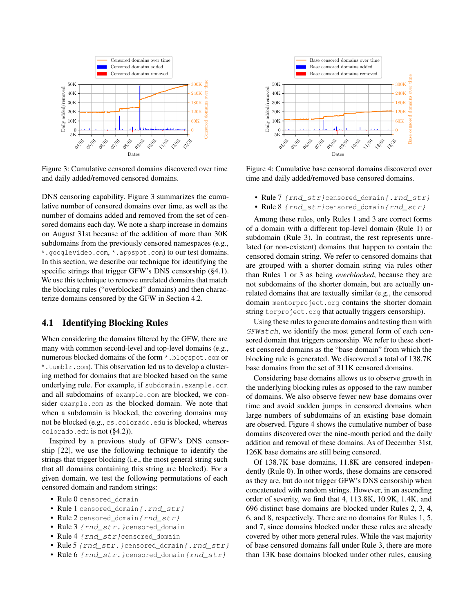<span id="page-3-1"></span>

Figure 3: Cumulative censored domains discovered over time and daily added/removed censored domains.

DNS censoring capability. Figure [3](#page-3-1) summarizes the cumulative number of censored domains over time, as well as the number of domains added and removed from the set of censored domains each day. We note a sharp increase in domains on August 31st because of the addition of more than 30K subdomains from the previously censored namespaces (e.g., \*.googlevideo.com, \*.appspot.com) to our test domains. In this section, we describe our technique for identifying the specific strings that trigger GFW's DNS censorship ([§4.1\)](#page-3-0). We use this technique to remove unrelated domains that match the blocking rules ("overblocked" domains) and then characterize domains censored by the GFW in Section [4.2.](#page-4-0)

### <span id="page-3-0"></span>4.1 Identifying Blocking Rules

When considering the domains filtered by the GFW, there are many with common second-level and top-level domains (e.g., numerous blocked domains of the form \*.blogspot.com or \*.tumblr.com). This observation led us to develop a clustering method for domains that are blocked based on the same underlying rule. For example, if subdomain.example.com and all subdomains of example.com are blocked, we consider example.com as the blocked domain. We note that when a subdomain is blocked, the covering domains may not be blocked (e.g., cs.colorado.edu is blocked, whereas colorado.edu is not ([§4.2\)](#page-4-0)).

Inspired by a previous study of GFW's DNS censorship [\[22\]](#page-13-4), we use the following technique to identify the strings that trigger blocking (i.e., the most general string such that all domains containing this string are blocked). For a given domain, we test the following permutations of each censored domain and random strings:

- Rule 0 censored domain
- Rule 1 censored domain {.rnd str}
- Rule 2 censored\_domain{rnd\_str}
- Rule 3 {rnd\_str.}censored\_domain
- Rule 4 {rnd\_str}censored\_domain
- Rule 5 {rnd\_str. } censored\_domain {. rnd\_str}
- Rule 6 {rnd str.}censored domain {rnd str}

<span id="page-3-2"></span>

Figure 4: Cumulative base censored domains discovered over time and daily added/removed base censored domains.

- Rule 7 {rnd\_str}censored\_domain{.rnd\_str}
- Rule 8 {rnd\_str}censored\_domain{rnd\_str}

Among these rules, only Rules 1 and 3 are correct forms of a domain with a different top-level domain (Rule 1) or subdomain (Rule 3). In contrast, the rest represents unrelated (or non-existent) domains that happen to contain the censored domain string. We refer to censored domains that are grouped with a shorter domain string via rules other than Rules 1 or 3 as being *overblocked*, because they are not subdomains of the shorter domain, but are actually unrelated domains that are textually similar (e.g., the censored domain mentorproject.org contains the shorter domain string torproject.org that actually triggers censorship).

Using these rules to generate domains and testing them with GFWatch, we identify the most general form of each censored domain that triggers censorship. We refer to these shortest censored domains as the "base domain" from which the blocking rule is generated. We discovered a total of 138.7K base domains from the set of 311K censored domains.

Considering base domains allows us to observe growth in the underlying blocking rules as opposed to the raw number of domains. We also observe fewer new base domains over time and avoid sudden jumps in censored domains when large numbers of subdomains of an existing base domain are observed. Figure [4](#page-3-2) shows the cumulative number of base domains discovered over the nine-month period and the daily addition and removal of these domains. As of December 31st, 126K base domains are still being censored.

Of 138.7K base domains, 11.8K are censored independently (Rule 0). In other words, these domains are censored as they are, but do not trigger GFW's DNS censorship when concatenated with random strings. However, in an ascending order of severity, we find that 4, 113.8K, 10.9K, 1.4K, and 696 distinct base domains are blocked under Rules 2, 3, 4, 6, and 8, respectively. There are no domains for Rules 1, 5, and 7, since domains blocked under these rules are already covered by other more general rules. While the vast majority of base censored domains fall under Rule 3, there are more than 13K base domains blocked under other rules, causing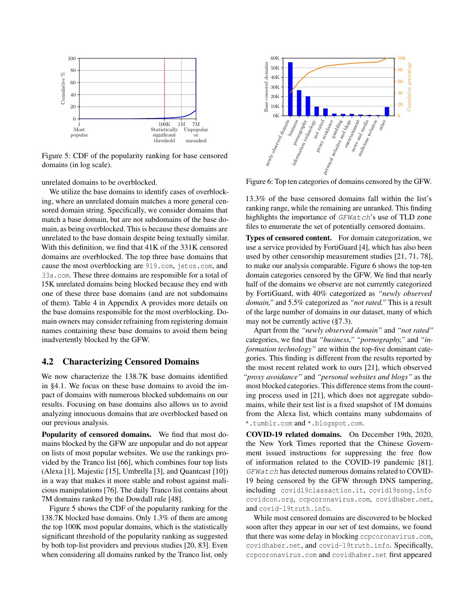<span id="page-4-1"></span>

Figure 5: CDF of the popularity ranking for base censored domains (in log scale).

unrelated domains to be overblocked.

We utilize the base domains to identify cases of overblocking, where an unrelated domain matches a more general censored domain string. Specifically, we consider domains that match a base domain, but are not subdomains of the base domain, as being overblocked. This is because these domains are unrelated to the base domain despite being textually similar. With this definition, we find that 41K of the 331K censored domains are overblocked. The top three base domains that cause the most overblocking are 919.com, jetos.com, and 33a.com. These three domains are responsible for a total of 15K unrelated domains being blocked because they end with one of these three base domains (and are not subdomains of them). Table [4](#page-15-10) in Appendix [A](#page-15-11) provides more details on the base domains responsible for the most overblocking. Domain owners may consider refraining from registering domain names containing these base domains to avoid them being inadvertently blocked by the GFW. When the position of the political interaction of the production of the production of the production of the production of the production of the production of the production of the production of the production of the stat

#### <span id="page-4-0"></span>4.2 Characterizing Censored Domains

We now characterize the 138.7K base domains identified in [§4.1.](#page-3-0) We focus on these base domains to avoid the impact of domains with numerous blocked subdomains on our results. Focusing on base domains also allows us to avoid analyzing innocuous domains that are overblocked based on our previous analysis.

Popularity of censored domains. We find that most domains blocked by the GFW are unpopular and do not appear on lists of most popular websites. We use the rankings provided by the Tranco list [\[66\]](#page-14-19), which combines four top lists (Alexa [\[1\]](#page-13-16), Majestic [\[15\]](#page-13-17), Umbrella [\[3\]](#page-13-18), and Quantcast [\[10\]](#page-13-19)) in a way that makes it more stable and robust against malicious manipulations [\[76\]](#page-14-20). The daily Tranco list contains about 7M domains ranked by the Dowdall rule [\[48\]](#page-14-21).

Figure [5](#page-4-1) shows the CDF of the popularity ranking for the 138.7K blocked base domains. Only 1.3% of them are among the top 100K most popular domains, which is the statistically significant threshold of the popularity ranking as suggested by both top-list providers and previous studies [\[20,](#page-13-20) [83\]](#page-15-12). Even

<span id="page-4-2"></span>

Figure 6: Top ten categories of domains censored by the GFW.

13.3% of the base censored domains fall within the list's ranking range, while the remaining are unranked. This finding highlights the importance of GFWatch's use of TLD zone files to enumerate the set of potentially censored domains.

Types of censored content. For domain categorization, we use a service provided by FortiGuard [\[4\]](#page-13-21), which has also been used by other censorship measurement studies [\[21,](#page-13-3) [71,](#page-14-9) [78\]](#page-14-22), to make our analysis comparable. Figure [6](#page-4-2) shows the top-ten domain categories censored by the GFW. We find that nearly half of the domains we observe are not currently categorized by FortiGuard, with 40% categorized as *"newly observed domain,"* and 5.5% categorized as *"not rated."* This is a result of the large number of domains in our dataset, many of which may not be currently active ([§7.3\)](#page-10-0).

Apart from the *"newly observed domain"* and *"not rated"* categories, we find that *"business," "pornography,"* and *"information technology"* are within the top-five dominant categories. This finding is different from the results reported by the most recent related work to ours [\[21\]](#page-13-3), which observed *"proxy avoidance"* and *"personal websites and blogs"* as the most blocked categories. This difference stems from the counting process used in [\[21\]](#page-13-3), which does not aggregate subdomains, while their test list is a fixed snapshot of 1M domains from the Alexa list, which contains many subdomains of \*.tumblr.com and \*.blogspot.com.

COVID-19 related domains. On December 19th, 2020, the New York Times reported that the Chinese Government issued instructions for suppressing the free flow of information related to the COVID-19 pandemic [\[81\]](#page-15-13). GFWatch has detected numerous domains related to COVID-19 being censored by the GFW through DNS tampering, including covid19classaction.it, covid19song.info covidcon.org, ccpcoronavirus.com, covidhaber.net, and covid-19truth.info.

While most censored domains are discovered to be blocked soon after they appear in our set of test domains, we found that there was some delay in blocking ccpcoronavirus.com, covidhaber.net, and covid-19truth.info. Specifically, ccpcoronavirus.com and covidhaber.net first appeared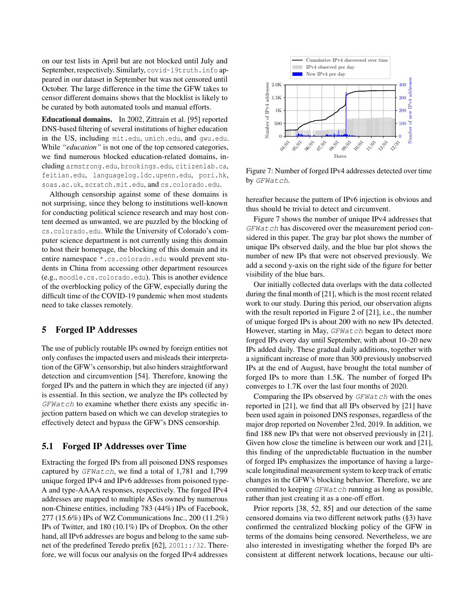on our test lists in April but are not blocked until July and September, respectively. Similarly, covid-19truth.info appeared in our dataset in September but was not censored until October. The large difference in the time the GFW takes to censor different domains shows that the blocklist is likely to be curated by both automated tools and manual efforts.

Educational domains. In 2002, Zittrain et al. [\[95\]](#page-15-3) reported DNS-based filtering of several institutions of higher education in the US, including mit.edu, umich.edu, and gwu.edu. While *"education"* is not one of the top censored categories, we find numerous blocked education-related domains, including armstrong.edu, brookings.edu, citizenlab.ca, feitian.edu, languagelog.ldc.upenn.edu, pori.hk, soas.ac.uk, scratch.mit.edu, and cs.colorado.edu.

Although censorship against some of these domains is not surprising, since they belong to institutions well-known for conducting political science research and may host content deemed as unwanted, we are puzzled by the blocking of cs.colorado.edu. While the University of Colorado's computer science department is not currently using this domain to host their homepage, the blocking of this domain and its entire namespace \*.cs.colorado.edu would prevent students in China from accessing other department resources (e.g., moodle.cs.colorado.edu). This is another evidence of the overblocking policy of the GFW, especially during the difficult time of the COVID-19 pandemic when most students need to take classes remotely.

#### <span id="page-5-0"></span>5 Forged IP Addresses

The use of publicly routable IPs owned by foreign entities not only confuses the impacted users and misleads their interpretation of the GFW's censorship, but also hinders straightforward detection and circumvention [\[54\]](#page-14-23). Therefore, knowing the forged IPs and the pattern in which they are injected (if any) is essential. In this section, we analyze the IPs collected by GFWatch to examine whether there exists any specific injection pattern based on which we can develop strategies to effectively detect and bypass the GFW's DNS censorship.

# <span id="page-5-2"></span>5.1 Forged IP Addresses over Time

Extracting the forged IPs from all poisoned DNS responses captured by GFWatch, we find a total of 1,781 and 1,799 unique forged IPv4 and IPv6 addresses from poisoned type-A and type-AAAA responses, respectively. The forged IPv4 addresses are mapped to multiple ASes owned by numerous non-Chinese entities, including 783 (44%) IPs of Facebook, 277 (15.6%) IPs of WZ Communications Inc., 200 (11.2%) IPs of Twitter, and 180 (10.1%) IPs of Dropbox. On the other hand, all IPv6 addresses are bogus and belong to the same subnet of the predefined Teredo prefix [\[62\]](#page-14-24), 2001::/32. Therefore, we will focus our analysis on the forged IPv4 addresses

<span id="page-5-1"></span>

Figure 7: Number of forged IPv4 addresses detected over time by GFWatch.

hereafter because the pattern of IPv6 injection is obvious and thus should be trivial to detect and circumvent.

Figure [7](#page-5-1) shows the number of unique IPv4 addresses that GFWatch has discovered over the measurement period considered in this paper. The gray bar plot shows the number of unique IPs observed daily, and the blue bar plot shows the number of new IPs that were not observed previously. We add a second y-axis on the right side of the figure for better visibility of the blue bars.

Our initially collected data overlaps with the data collected during the final month of [\[21\]](#page-13-3), which is the most recent related work to our study. During this period, our observation aligns with the result reported in Figure 2 of [\[21\]](#page-13-3), i.e., the number of unique forged IPs is about 200 with no new IPs detected. However, starting in May, GFWatch began to detect more forged IPs every day until September, with about 10–20 new IPs added daily. These gradual daily additions, together with a significant increase of more than 300 previously unobserved IPs at the end of August, have brought the total number of forged IPs to more than 1.5K. The number of forged IPs converges to 1.7K over the last four months of 2020.

Comparing the IPs observed by  $GFWatch$  with the ones reported in [\[21\]](#page-13-3), we find that all IPs observed by [\[21\]](#page-13-3) have been used again in poisoned DNS responses, regardless of the major drop reported on November 23rd, 2019. In addition, we find 188 new IPs that were not observed previously in [\[21\]](#page-13-3). Given how close the timeline is between our work and [\[21\]](#page-13-3), this finding of the unpredictable fluctuation in the number of forged IPs emphasizes the importance of having a largescale longitudinal measurement system to keep track of erratic changes in the GFW's blocking behavior. Therefore, we are committed to keeping GFWatch running as long as possible, rather than just creating it as a one-off effort.

Prior reports [\[38,](#page-13-2) [52,](#page-14-17) [85\]](#page-15-4) and our detection of the same censored domains via two different network paths ([§3\)](#page-1-0) have confirmed the centralized blocking policy of the GFW in terms of the domains being censored. Nevertheless, we are also interested in investigating whether the forged IPs are consistent at different network locations, because our ulti-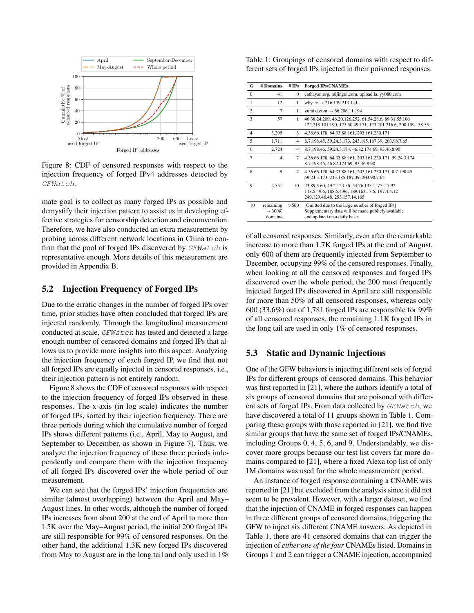<span id="page-6-1"></span>

Figure 8: CDF of censored responses with respect to the injection frequency of forged IPv4 addresses detected by GFWatch.

mate goal is to collect as many forged IPs as possible and demystify their injection pattern to assist us in developing effective strategies for censorship detection and circumvention. Therefore, we have also conducted an extra measurement by probing across different network locations in China to confirm that the pool of forged IPs discovered by GFWatch is representative enough. More details of this measurement are provided in Appendix [B.](#page-16-0)

# <span id="page-6-3"></span>5.2 Injection Frequency of Forged IPs

Due to the erratic changes in the number of forged IPs over time, prior studies have often concluded that forged IPs are injected randomly. Through the longitudinal measurement conducted at scale, GFWatch has tested and detected a large enough number of censored domains and forged IPs that allows us to provide more insights into this aspect. Analyzing the injection frequency of each forged IP, we find that not all forged IPs are equally injected in censored responses, i.e., their injection pattern is not entirely random.

Figure [8](#page-6-1) shows the CDF of censored responses with respect to the injection frequency of forged IPs observed in these responses. The x-axis (in log scale) indicates the number of forged IPs, sorted by their injection frequency. There are three periods during which the cumulative number of forged IPs shows different patterns (i.e., April, May to August, and September to December, as shown in Figure [7\)](#page-5-1). Thus, we analyze the injection frequency of these three periods independently and compare them with the injection frequency of all forged IPs discovered over the whole period of our measurement.

We can see that the forged IPs' injection frequencies are similar (almost overlapping) between the April and May– August lines. In other words, although the number of forged IPs increases from about 200 at the end of April to more than 1.5K over the May–August period, the initial 200 forged IPs are still responsible for 99% of censored responses. On the other hand, the additional 1.3K new forged IPs discovered from May to August are in the long tail and only used in 1%

<span id="page-6-2"></span>Table 1: Groupings of censored domains with respect to different sets of forged IPs injected in their poisoned responses.

| G              | # Domains                           | # $IPs$      | <b>Forged IPs/CNAMEs</b>                                                                                                               |
|----------------|-------------------------------------|--------------|----------------------------------------------------------------------------------------------------------------------------------------|
| $\Omega$       | 41                                  | $\mathbf{0}$ | cathayan.org, mijingui.com, upload.la, yy080.com                                                                                       |
| 1              | 12                                  | 1            | why.cc $\rightarrow$ 216.139.213.144                                                                                                   |
| 2              | 7                                   | 1            | vumizi.com $\rightarrow$ 66.206.11.194                                                                                                 |
| 3              | 57                                  | 1            | 46.38.24.209, 46.20.126.252, 61.54.28.6, 89.31.55.106<br>122.218.101.190, 123.50.49.171, 173.201.216.6, 208.109.138.55                 |
| $\overline{4}$ | 3,295                               | 3            | 4.36.66.178, 64.33.88.161, 203.161.230.171                                                                                             |
| 5              | 1,711                               | 4            | 8.7.198.45, 59.24.3.173, 243.185.187.39, 203.98.7.65                                                                                   |
| 6              | 2,724                               | 4            | 8.7.198.46, 59.24.3.174, 46.82.174.69, 93.46.8.90                                                                                      |
| $\overline{7}$ | $\overline{4}$                      | 7            | 4.36.66.178, 64.33.88.161, 203.161.230.171, 59.24.3.174<br>8.7.198.46, 46.82.174.69, 93.46.8.90                                        |
| 8              | $\mathbf Q$                         | 7            | 4.36.66.178, 64.33.88.161, 203.161.230.171, 8.7.198.45<br>59.24.3.173, 243.185.187.39, 203.98.7.65                                     |
| 9              | 4,551                               | 10           | 23.89.5.60, 49.2.123.56, 54.76.135.1, 77.4.7.92<br>118.5.49.6, 188.5.4.96, 189.163.17.5, 197.4.4.12<br>249.129.46.48, 253.157.14.165   |
| 10             | remaining<br>$\sim$ 300K<br>domains | > 560        | [Omitted due to the large number of forged IPs]<br>Supplementary data will be made publicly available<br>and updated on a daily basis. |

of all censored responses. Similarly, even after the remarkable increase to more than 1.7K forged IPs at the end of August, only 600 of them are frequently injected from September to December, occupying 99% of the censored responses. Finally, when looking at all the censored responses and forged IPs discovered over the whole period, the 200 most frequently injected forged IPs discovered in April are still responsible for more than 50% of all censored responses, whereas only 600 (33.6%) out of 1,781 forged IPs are responsible for 99% of all censored responses, the remaining 1.1K forged IPs in the long tail are used in only 1% of censored responses.

#### <span id="page-6-0"></span>5.3 Static and Dynamic Injections

One of the GFW behaviors is injecting different sets of forged IPs for different groups of censored domains. This behavior was first reported in [\[21\]](#page-13-3), where the authors identify a total of six groups of censored domains that are poisoned with different sets of forged IPs. From data collected by GFWatch, we have discovered a total of 11 groups shown in Table [1.](#page-6-2) Comparing these groups with those reported in [\[21\]](#page-13-3), we find five similar groups that have the same set of forged IPs/CNAMEs, including Groups 0, 4, 5, 6, and 9. Understandably, we discover more groups because our test list covers far more domains compared to [\[21\]](#page-13-3), where a fixed Alexa top list of only 1M domains was used for the whole measurement period.

An instance of forged response containing a CNAME was reported in [\[21\]](#page-13-3) but excluded from the analysis since it did not seem to be prevalent. However, with a larger dataset, we find that the injection of CNAME in forged responses can happen in three different groups of censored domains, triggering the GFW to inject six different CNAME answers. As depicted in Table [1,](#page-6-2) there are 41 censored domains that can trigger the injection of *either one of the four* CNAMEs listed. Domains in Groups 1 and 2 can trigger a CNAME injection, accompanied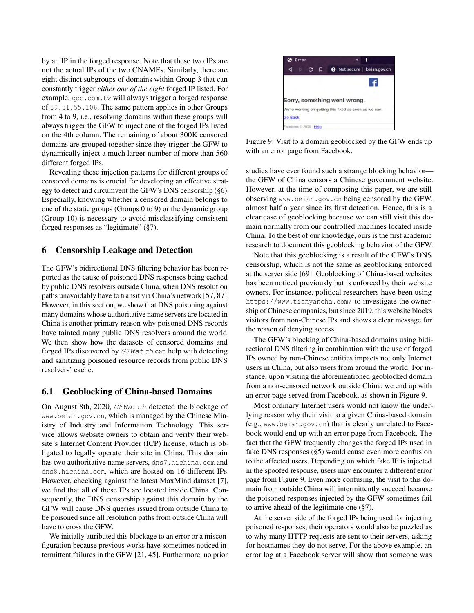by an IP in the forged response. Note that these two IPs are not the actual IPs of the two CNAMEs. Similarly, there are eight distinct subgroups of domains within Group 3 that can constantly trigger *either one of the eight* forged IP listed. For example, qcc.com.tw will always trigger a forged response of 89.31.55.106. The same pattern applies in other Groups from 4 to 9, i.e., resolving domains within these groups will always trigger the GFW to inject one of the forged IPs listed on the 4th column. The remaining of about 300K censored domains are grouped together since they trigger the GFW to dynamically inject a much larger number of more than 560 different forged IPs.

Revealing these injection patterns for different groups of censored domains is crucial for developing an effective strategy to detect and circumvent the GFW's DNS censorship ([§6\)](#page-7-0). Especially, knowing whether a censored domain belongs to one of the static groups (Groups 0 to 9) or the dynamic group (Group 10) is necessary to avoid misclassifying consistent forged responses as "legitimate" ([§7\)](#page-9-0).

#### <span id="page-7-0"></span>6 Censorship Leakage and Detection

The GFW's bidirectional DNS filtering behavior has been reported as the cause of poisoned DNS responses being cached by public DNS resolvers outside China, when DNS resolution paths unavoidably have to transit via China's network [\[57,](#page-14-5) [87\]](#page-15-2). However, in this section, we show that DNS poisoning against many domains whose authoritative name servers are located in China is another primary reason why poisoned DNS records have tainted many public DNS resolvers around the world. We then show how the datasets of censored domains and forged IPs discovered by GFWatch can help with detecting and sanitizing poisoned resource records from public DNS resolvers' cache.

#### <span id="page-7-1"></span>6.1 Geoblocking of China-based Domains

On August 8th, 2020, GFWatch detected the blockage of www.beian.gov.cn, which is managed by the Chinese Ministry of Industry and Information Technology. This service allows website owners to obtain and verify their website's Internet Content Provider (ICP) license, which is obligated to legally operate their site in China. This domain has two authoritative name servers, dns7.hichina.com and dns8.hichina.com, which are hosted on 16 different IPs. However, checking against the latest MaxMind dataset [\[7\]](#page-13-22), we find that all of these IPs are located inside China. Consequently, the DNS censorship against this domain by the GFW will cause DNS queries issued from outside China to be poisoned since all resolution paths from outside China will have to cross the GFW.

We initially attributed this blockage to an error or a misconfiguration because previous works have sometimes noticed intermittent failures in the GFW [\[21,](#page-13-3) [45\]](#page-14-12). Furthermore, no prior

<span id="page-7-2"></span>

Figure 9: Visit to a domain geoblocked by the GFW ends up with an error page from Facebook.

studies have ever found such a strange blocking behavior the GFW of China censors a Chinese government website. However, at the time of composing this paper, we are still observing www.beian.gov.cn being censored by the GFW, almost half a year since its first detection. Hence, this is a clear case of geoblocking because we can still visit this domain normally from our controlled machines located inside China. To the best of our knowledge, ours is the first academic research to document this geoblocking behavior of the GFW.

Note that this geoblocking is a result of the GFW's DNS censorship, which is not the same as geoblocking enforced at the server side [\[69\]](#page-14-25). Geoblocking of China-based websites has been noticed previously but is enforced by their website owners. For instance, political researchers have been using https://www.tianyancha.com/ to investigate the ownership of Chinese companies, but since 2019, this website blocks visitors from non-Chinese IPs and shows a clear message for the reason of denying access.

The GFW's blocking of China-based domains using bidirectional DNS filtering in combination with the use of forged IPs owned by non-Chinese entities impacts not only Internet users in China, but also users from around the world. For instance, upon visiting the aforementioned geoblocked domain from a non-censored network outside China, we end up with an error page served from Facebook, as shown in Figure [9.](#page-7-2)

Most ordinary Internet users would not know the underlying reason why their visit to a given China-based domain (e.g., www.beian.gov.cn) that is clearly unrelated to Facebook would end up with an error page from Facebook. The fact that the GFW frequently changes the forged IPs used in fake DNS responses ([§5\)](#page-5-0) would cause even more confusion to the affected users. Depending on which fake IP is injected in the spoofed response, users may encounter a different error page from Figure [9.](#page-7-2) Even more confusing, the visit to this domain from outside China will intermittently succeed because the poisoned responses injected by the GFW sometimes fail to arrive ahead of the legitimate one ([§7\)](#page-9-0).

At the server side of the forged IPs being used for injecting poisoned responses, their operators would also be puzzled as to why many HTTP requests are sent to their servers, asking for hostnames they do not serve. For the above example, an error log at a Facebook server will show that someone was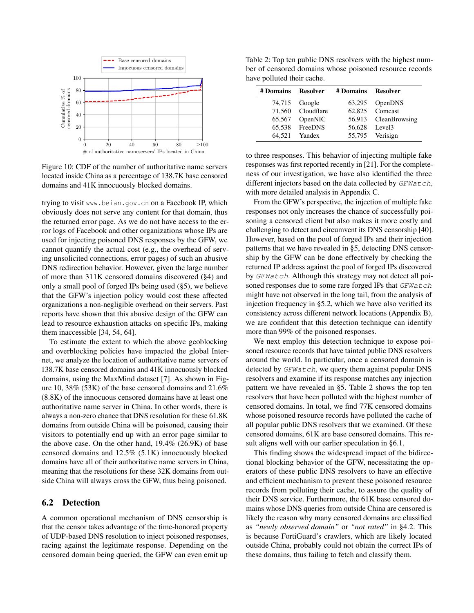<span id="page-8-1"></span>

Figure 10: CDF of the number of authoritative name servers located inside China as a percentage of 138.7K base censored domains and 41K innocuously blocked domains.

trying to visit www.beian.gov.cn on a Facebook IP, which obviously does not serve any content for that domain, thus the returned error page. As we do not have access to the error logs of Facebook and other organizations whose IPs are used for injecting poisoned DNS responses by the GFW, we cannot quantify the actual cost (e.g., the overhead of serving unsolicited connections, error pages) of such an abusive DNS redirection behavior. However, given the large number of more than 311K censored domains discovered ([§4\)](#page-2-0) and only a small pool of forged IPs being used ([§5\)](#page-5-0), we believe that the GFW's injection policy would cost these affected organizations a non-negligible overhead on their servers. Past reports have shown that this abusive design of the GFW can lead to resource exhaustion attacks on specific IPs, making them inaccessible [\[34,](#page-13-23) [54,](#page-14-23) [64\]](#page-14-26).

To estimate the extent to which the above geoblocking and overblocking policies have impacted the global Internet, we analyze the location of authoritative name servers of 138.7K base censored domains and 41K innocuously blocked domains, using the MaxMind dataset [\[7\]](#page-13-22). As shown in Figure [10,](#page-8-1) 38% (53K) of the base censored domains and 21.6% (8.8K) of the innocuous censored domains have at least one authoritative name server in China. In other words, there is always a non-zero chance that DNS resolution for these 61.8K domains from outside China will be poisoned, causing their visitors to potentially end up with an error page similar to the above case. On the other hand, 19.4% (26.9K) of base censored domains and 12.5% (5.1K) innocuously blocked domains have all of their authoritative name servers in China, meaning that the resolutions for these 32K domains from outside China will always cross the GFW, thus being poisoned.

#### <span id="page-8-0"></span>6.2 Detection

A common operational mechanism of DNS censorship is that the censor takes advantage of the time-honored property of UDP-based DNS resolution to inject poisoned responses, racing against the legitimate response. Depending on the censored domain being queried, the GFW can even emit up

<span id="page-8-2"></span>Table 2: Top ten public DNS resolvers with the highest number of censored domains whose poisoned resource records have polluted their cache.

| # Domains | Resolver          | # Domains Resolver |                      |
|-----------|-------------------|--------------------|----------------------|
|           | 74,715 Google     |                    | 63,295 OpenDNS       |
|           | 71.560 Cloudflare |                    | 62.825 Comcast       |
| 65,567    | OpenNIC           |                    | 56,913 CleanBrowsing |
|           | 65.538 FreeDNS    |                    | 56.628 Level3        |
| 64.521    | Yandex            |                    | 55,795 Verisign      |

to three responses. This behavior of injecting multiple fake responses was first reported recently in [\[21\]](#page-13-3). For the completeness of our investigation, we have also identified the three different injectors based on the data collected by GFWatch, with more detailed analysis in Appendix [C.](#page-16-1)

From the GFW's perspective, the injection of multiple fake responses not only increases the chance of successfully poisoning a censored client but also makes it more costly and challenging to detect and circumvent its DNS censorship [\[40\]](#page-14-14). However, based on the pool of forged IPs and their injection patterns that we have revealed in [§5,](#page-5-0) detecting DNS censorship by the GFW can be done effectively by checking the returned IP address against the pool of forged IPs discovered by GFWatch. Although this strategy may not detect all poisoned responses due to some rare forged IPs that GFWatch might have not observed in the long tail, from the analysis of injection frequency in [§5.2,](#page-6-3) which we have also verified its consistency across different network locations (Appendix [B\)](#page-16-0), we are confident that this detection technique can identify more than 99% of the poisoned responses.

We next employ this detection technique to expose poisoned resource records that have tainted public DNS resolvers around the world. In particular, once a censored domain is detected by *GFWatch*, we query them against popular DNS resolvers and examine if its response matches any injection pattern we have revealed in [§5.](#page-5-0) Table [2](#page-8-2) shows the top ten resolvers that have been polluted with the highest number of censored domains. In total, we find 77K censored domains whose poisoned resource records have polluted the cache of all popular public DNS resolvers that we examined. Of these censored domains, 61K are base censored domains. This result aligns well with our earlier speculation in [§6.1.](#page-7-1)

This finding shows the widespread impact of the bidirectional blocking behavior of the GFW, necessitating the operators of these public DNS resolvers to have an effective and efficient mechanism to prevent these poisoned resource records from polluting their cache, to assure the quality of their DNS service. Furthermore, the 61K base censored domains whose DNS queries from outside China are censored is likely the reason why many censored domains are classified as *"newly observed domain"* or *"not rated"* in [§4.2.](#page-4-0) This is because FortiGuard's crawlers, which are likely located outside China, probably could not obtain the correct IPs of these domains, thus failing to fetch and classify them.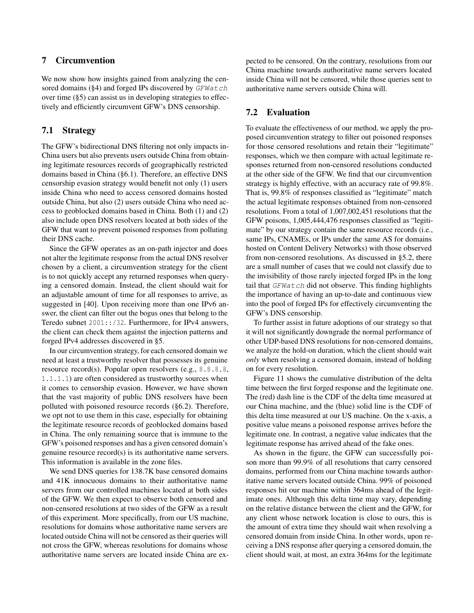# <span id="page-9-0"></span>7 Circumvention

We now show how insights gained from analyzing the cen-sored domains ([§4\)](#page-2-0) and forged IPs discovered by  $GFWatch$ over time ([§5\)](#page-5-0) can assist us in developing strategies to effectively and efficiently circumvent GFW's DNS censorship.

### 7.1 Strategy

The GFW's bidirectional DNS filtering not only impacts in-China users but also prevents users outside China from obtaining legitimate resources records of geographically restricted domains based in China ([§6.1\)](#page-7-1). Therefore, an effective DNS censorship evasion strategy would benefit not only (1) users inside China who need to access censored domains hosted outside China, but also (2) users outside China who need access to geoblocked domains based in China. Both (1) and (2) also include open DNS resolvers located at both sides of the GFW that want to prevent poisoned responses from polluting their DNS cache.

Since the GFW operates as an on-path injector and does not alter the legitimate response from the actual DNS resolver chosen by a client, a circumvention strategy for the client is to not quickly accept any returned responses when querying a censored domain. Instead, the client should wait for an adjustable amount of time for all responses to arrive, as suggested in [\[40\]](#page-14-14). Upon receiving more than one IPv6 answer, the client can filter out the bogus ones that belong to the Teredo subnet 2001::/32. Furthermore, for IPv4 answers, the client can check them against the injection patterns and forged IPv4 addresses discovered in [§5.](#page-5-0)

In our circumvention strategy, for each censored domain we need at least a trustworthy resolver that possesses its genuine resource record(s). Popular open resolvers (e.g., 8.8.8.8, 1.1.1.1) are often considered as trustworthy sources when it comes to censorship evasion. However, we have shown that the vast majority of public DNS resolvers have been polluted with poisoned resource records ([§6.2\)](#page-8-0). Therefore, we opt not to use them in this case, especially for obtaining the legitimate resource records of geoblocked domains based in China. The only remaining source that is immune to the GFW's poisoned responses and has a given censored domain's genuine resource record(s) is its authoritative name servers. This information is available in the zone files.

We send DNS queries for 138.7K base censored domains and 41K innocuous domains to their authoritative name servers from our controlled machines located at both sides of the GFW. We then expect to observe both censored and non-censored resolutions at two sides of the GFW as a result of this experiment. More specifically, from our US machine, resolutions for domains whose authoritative name servers are located outside China will not be censored as their queries will not cross the GFW, whereas resolutions for domains whose authoritative name servers are located inside China are expected to be censored. On the contrary, resolutions from our China machine towards authoritative name servers located inside China will not be censored, while those queries sent to authoritative name servers outside China will.

# <span id="page-9-1"></span>7.2 Evaluation

To evaluate the effectiveness of our method, we apply the proposed circumvention strategy to filter out poisoned responses for those censored resolutions and retain their "legitimate" responses, which we then compare with actual legitimate responses returned from non-censored resolutions conducted at the other side of the GFW. We find that our circumvention strategy is highly effective, with an accuracy rate of 99.8%. That is, 99.8% of responses classified as "legitimate" match the actual legitimate responses obtained from non-censored resolutions. From a total of 1,007,002,451 resolutions that the GFW poisons, 1,005,444,476 responses classified as "legitimate" by our strategy contain the same resource records (i.e., same IPs, CNAMEs, or IPs under the same AS for domains hosted on Content Delivery Networks) with those observed from non-censored resolutions. As discussed in [§5.2,](#page-6-3) there are a small number of cases that we could not classify due to the invisibility of those rarely injected forged IPs in the long tail that  $GFWatch$  did not observe. This finding highlights the importance of having an up-to-date and continuous view into the pool of forged IPs for effectively circumventing the GFW's DNS censorship.

To further assist in future adoptions of our strategy so that it will not significantly downgrade the normal performance of other UDP-based DNS resolutions for non-censored domains, we analyze the hold-on duration, which the client should wait *only* when resolving a censored domain, instead of holding on for every resolution.

Figure [11](#page-10-1) shows the cumulative distribution of the delta time between the first forged response and the legitimate one. The (red) dash line is the CDF of the delta time measured at our China machine, and the (blue) solid line is the CDF of this delta time measured at our US machine. On the x-axis, a positive value means a poisoned response arrives before the legitimate one. In contrast, a negative value indicates that the legitimate response has arrived ahead of the fake ones.

As shown in the figure, the GFW can successfully poison more than 99.9% of all resolutions that carry censored domains, performed from our China machine towards authoritative name servers located outside China. 99% of poisoned responses hit our machine within 364ms ahead of the legitimate ones. Although this delta time may vary, depending on the relative distance between the client and the GFW, for any client whose network location is close to ours, this is the amount of extra time they should wait when resolving a censored domain from inside China. In other words, upon receiving a DNS response after querying a censored domain, the client should wait, at most, an extra 364ms for the legitimate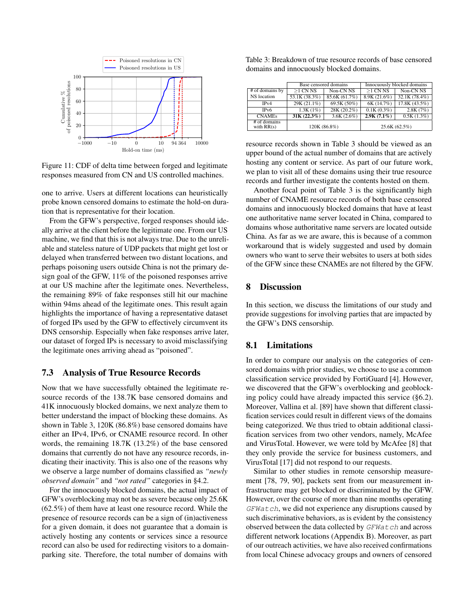<span id="page-10-1"></span>

Figure 11: CDF of delta time between forged and legitimate responses measured from CN and US controlled machines.

one to arrive. Users at different locations can heuristically probe known censored domains to estimate the hold-on duration that is representative for their location.

From the GFW's perspective, forged responses should ideally arrive at the client before the legitimate one. From our US machine, we find that this is not always true. Due to the unreliable and stateless nature of UDP packets that might get lost or delayed when transferred between two distant locations, and perhaps poisoning users outside China is not the primary design goal of the GFW, 11% of the poisoned responses arrive at our US machine after the legitimate ones. Nevertheless, the remaining 89% of fake responses still hit our machine within 94ms ahead of the legitimate ones. This result again highlights the importance of having a representative dataset of forged IPs used by the GFW to effectively circumvent its DNS censorship. Especially when fake responses arrive later, our dataset of forged IPs is necessary to avoid misclassifying the legitimate ones arriving ahead as "poisoned".

#### <span id="page-10-0"></span>7.3 Analysis of True Resource Records

Now that we have successfully obtained the legitimate resource records of the 138.7K base censored domains and 41K innocuously blocked domains, we next analyze them to better understand the impact of blocking these domains. As shown in Table [3,](#page-10-2) 120K (86.8%) base censored domains have either an IPv4, IPv6, or CNAME resource record. In other words, the remaining 18.7K (13.2%) of the base censored domains that currently do not have any resource records, indicating their inactivity. This is also one of the reasons why we observe a large number of domains classified as *"newly observed domain"* and *"not rated"* categories in [§4.2.](#page-4-0)

For the innocuously blocked domains, the actual impact of GFW's overblocking may not be as severe because only 25.6K (62.5%) of them have at least one resource record. While the presence of resource records can be a sign of (in)activeness for a given domain, it does not guarantee that a domain is actively hosting any contents or services since a resource record can also be used for redirecting visitors to a domainparking site. Therefore, the total number of domains with

<span id="page-10-2"></span>

| Table 3: Breakdown of true resource records of base censored |  |  |
|--------------------------------------------------------------|--|--|
| domains and innocuously blocked domains.                     |  |  |

|                                |                                    | Base censored domains | Innocuously blocked domains |                      |  |
|--------------------------------|------------------------------------|-----------------------|-----------------------------|----------------------|--|
| # of domains by                | $>1$ CN NS<br>Non-CN <sub>NS</sub> |                       | $>1$ CN NS                  | Non-CN <sub>NS</sub> |  |
| NS location                    | 53.1K(38.3%)                       | 85.6K (61.7%)         | 8.9K(21.6%)                 | 32.1K(78.4%)         |  |
| IPv4                           | 29K (21.1%)                        | 69.5K (50%)           | 6K (14.7%)                  | 17.8K (43.5%)        |  |
| IP <sub>v</sub> 6              | 1.3K(1%)                           | 28K (20.2%)           | 0.1K(0.3%)                  | 2.8K(7%)             |  |
| <b>CNAMEs</b>                  | $31K(22.3\%)$                      | $3.6K(2.6\%)$         | $2.9K(7.1\%)$               | 0.5K(1.3%)           |  |
| $#$ of domains<br>with $RR(s)$ | 120K (86.8%)                       |                       | 25.6K (62.5%)               |                      |  |

resource records shown in Table [3](#page-10-2) should be viewed as an upper bound of the actual number of domains that are actively hosting any content or service. As part of our future work, we plan to visit all of these domains using their true resource records and further investigate the contents hosted on them.

Another focal point of Table [3](#page-10-2) is the significantly high number of CNAME resource records of both base censored domains and innocuously blocked domains that have at least one authoritative name server located in China, compared to domains whose authoritative name servers are located outside China. As far as we are aware, this is because of a common workaround that is widely suggested and used by domain owners who want to serve their websites to users at both sides of the GFW since these CNAMEs are not filtered by the GFW.

### 8 Discussion

In this section, we discuss the limitations of our study and provide suggestions for involving parties that are impacted by the GFW's DNS censorship.

### 8.1 Limitations

In order to compare our analysis on the categories of censored domains with prior studies, we choose to use a common classification service provided by FortiGuard [\[4\]](#page-13-21). However, we discovered that the GFW's overblocking and geoblocking policy could have already impacted this service ([§6.2\)](#page-8-0). Moreover, Vallina et al. [\[89\]](#page-15-14) have shown that different classification services could result in different views of the domains being categorized. We thus tried to obtain additional classification services from two other vendors, namely, McAfee and VirusTotal. However, we were told by McAfee [\[8\]](#page-13-24) that they only provide the service for business customers, and VirusTotal [\[17\]](#page-13-25) did not respond to our requests.

Similar to other studies in remote censorship measurement [\[78,](#page-14-22) [79,](#page-15-1) [90\]](#page-15-15), packets sent from our measurement infrastructure may get blocked or discriminated by the GFW. However, over the course of more than nine months operating GFWatch, we did not experience any disruptions caused by such discriminative behaviors, as is evident by the consistency observed between the data collected by  $GFWatch$  and across different network locations (Appendix [B\)](#page-16-0). Moreover, as part of our outreach activities, we have also received confirmations from local Chinese advocacy groups and owners of censored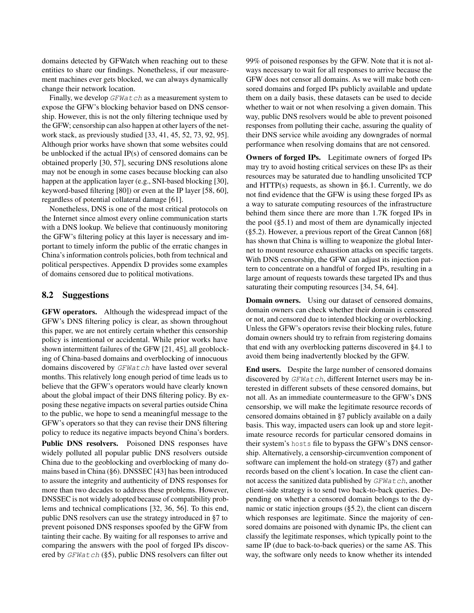domains detected by GFWatch when reaching out to these entities to share our findings. Nonetheless, if our measurement machines ever gets blocked, we can always dynamically change their network location.

Finally, we develop GFWatch as a measurement system to expose the GFW's blocking behavior based on DNS censorship. However, this is not the only filtering technique used by the GFW; censorship can also happen at other layers of the network stack, as previously studied [\[33,](#page-13-8) [41,](#page-14-2) [45,](#page-14-12) [52,](#page-14-17) [73,](#page-14-13) [92,](#page-15-0) [95\]](#page-15-3). Although prior works have shown that some websites could be unblocked if the actual IP(s) of censored domains can be obtained properly [\[30,](#page-13-26) [57\]](#page-14-5), securing DNS resolutions alone may not be enough in some cases because blocking can also happen at the application layer (e.g., SNI-based blocking [\[30\]](#page-13-26), keyword-based filtering [\[80\]](#page-15-7)) or even at the IP layer [\[58,](#page-14-27) [60\]](#page-14-28), regardless of potential collateral damage [\[61\]](#page-14-29).

Nonetheless, DNS is one of the most critical protocols on the Internet since almost every online communication starts with a DNS lookup. We believe that continuously monitoring the GFW's filtering policy at this layer is necessary and important to timely inform the public of the erratic changes in China's information controls policies, both from technical and political perspectives. Appendix [D](#page-17-0) provides some examples of domains censored due to political motivations.

#### 8.2 Suggestions

GFW operators. Although the widespread impact of the GFW's DNS filtering policy is clear, as shown throughout this paper, we are not entirely certain whether this censorship policy is intentional or accidental. While prior works have shown intermittent failures of the GFW [\[21,](#page-13-3) [45\]](#page-14-12), all geoblocking of China-based domains and overblocking of innocuous domains discovered by GFWatch have lasted over several months. This relatively long enough period of time leads us to believe that the GFW's operators would have clearly known about the global impact of their DNS filtering policy. By exposing these negative impacts on several parties outside China to the public, we hope to send a meaningful message to the GFW's operators so that they can revise their DNS filtering policy to reduce its negative impacts beyond China's borders.

Public DNS resolvers. Poisoned DNS responses have widely polluted all popular public DNS resolvers outside China due to the geoblocking and overblocking of many domains based in China ([§6\)](#page-7-0). DNSSEC [\[43\]](#page-14-30) has been introduced to assure the integrity and authenticity of DNS responses for more than two decades to address these problems. However, DNSSEC is not widely adopted because of compatibility problems and technical complications [\[32,](#page-13-27) [36,](#page-13-28) [56\]](#page-14-31). To this end, public DNS resolvers can use the strategy introduced in [§7](#page-9-0) to prevent poisoned DNS responses spoofed by the GFW from tainting their cache. By waiting for all responses to arrive and comparing the answers with the pool of forged IPs discovered by  $GFWatch$  ([§5\)](#page-5-0), public DNS resolvers can filter out

99% of poisoned responses by the GFW. Note that it is not always necessary to wait for all responses to arrive because the GFW does not censor all domains. As we will make both censored domains and forged IPs publicly available and update them on a daily basis, these datasets can be used to decide whether to wait or not when resolving a given domain. This way, public DNS resolvers would be able to prevent poisoned responses from polluting their cache, assuring the quality of their DNS service while avoiding any downgrades of normal performance when resolving domains that are not censored.

Owners of forged IPs. Legitimate owners of forged IPs may try to avoid hosting critical services on these IPs as their resources may be saturated due to handling unsolicited TCP and HTTP(s) requests, as shown in [§6.1.](#page-7-1) Currently, we do not find evidence that the GFW is using these forged IPs as a way to saturate computing resources of the infrastructure behind them since there are more than 1.7K forged IPs in the pool ([§5.1\)](#page-5-2) and most of them are dynamically injected ([§5.2\)](#page-6-3). However, a previous report of the Great Cannon [\[68\]](#page-14-4) has shown that China is willing to weaponize the global Internet to mount resource exhaustion attacks on specific targets. With DNS censorship, the GFW can adjust its injection pattern to concentrate on a handful of forged IPs, resulting in a large amount of requests towards these targeted IPs and thus saturating their computing resources [\[34,](#page-13-23) [54,](#page-14-23) [64\]](#page-14-26).

Domain owners. Using our dataset of censored domains, domain owners can check whether their domain is censored or not, and censored due to intended blocking or overblocking. Unless the GFW's operators revise their blocking rules, future domain owners should try to refrain from registering domains that end with any overblocking patterns discovered in [§4.1](#page-3-0) to avoid them being inadvertently blocked by the GFW.

End users. Despite the large number of censored domains discovered by GFWatch, different Internet users may be interested in different subsets of these censored domains, but not all. As an immediate countermeasure to the GFW's DNS censorship, we will make the legitimate resource records of censored domains obtained in [§7](#page-9-0) publicly available on a daily basis. This way, impacted users can look up and store legitimate resource records for particular censored domains in their system's hosts file to bypass the GFW's DNS censorship. Alternatively, a censorship-circumvention component of software can implement the hold-on strategy ([§7\)](#page-9-0) and gather records based on the client's location. In case the client cannot access the sanitized data published by GFWatch, another client-side strategy is to send two back-to-back queries. Depending on whether a censored domain belongs to the dynamic or static injection groups ([§5.2\)](#page-6-3), the client can discern which responses are legitimate. Since the majority of censored domains are poisoned with dynamic IPs, the client can classify the legitimate responses, which typically point to the same IP (due to back-to-back queries) or the same AS. This way, the software only needs to know whether its intended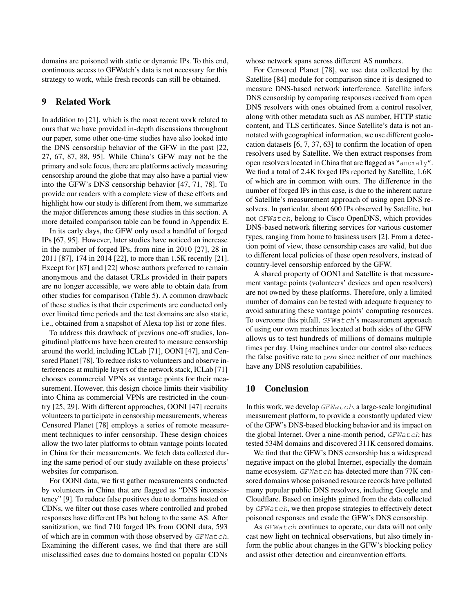domains are poisoned with static or dynamic IPs. To this end, continuous access to GFWatch's data is not necessary for this strategy to work, while fresh records can still be obtained.

### 9 Related Work

In addition to [\[21\]](#page-13-3), which is the most recent work related to ours that we have provided in-depth discussions throughout our paper, some other one-time studies have also looked into the DNS censorship behavior of the GFW in the past [\[22,](#page-13-4) [27,](#page-13-9) [67,](#page-14-16) [87,](#page-15-2) [88,](#page-15-16) [95\]](#page-15-3). While China's GFW may not be the primary and sole focus, there are platforms actively measuring censorship around the globe that may also have a partial view into the GFW's DNS censorship behavior [\[47,](#page-14-32) [71,](#page-14-9) [78\]](#page-14-22). To provide our readers with a complete view of these efforts and highlight how our study is different from them, we summarize the major differences among these studies in this section. A more detailed comparison table can be found in Appendix [E.](#page-17-1)

In its early days, the GFW only used a handful of forged IPs [\[67,](#page-14-16) [95\]](#page-15-3). However, later studies have noticed an increase in the number of forged IPs, from nine in 2010 [\[27\]](#page-13-9), 28 in 2011 [\[87\]](#page-15-2), 174 in 2014 [\[22\]](#page-13-4), to more than 1.5K recently [\[21\]](#page-13-3). Except for [\[87\]](#page-15-2) and [\[22\]](#page-13-4) whose authors preferred to remain anonymous and the dataset URLs provided in their papers are no longer accessible, we were able to obtain data from other studies for comparison (Table [5\)](#page-17-2). A common drawback of these studies is that their experiments are conducted only over limited time periods and the test domains are also static, i.e., obtained from a snapshot of Alexa top list or zone files.

To address this drawback of previous one-off studies, longitudinal platforms have been created to measure censorship around the world, including ICLab [\[71\]](#page-14-9), OONI [\[47\]](#page-14-32), and Censored Planet [\[78\]](#page-14-22). To reduce risks to volunteers and observe interferences at multiple layers of the network stack, ICLab [\[71\]](#page-14-9) chooses commercial VPNs as vantage points for their measurement. However, this design choice limits their visibility into China as commercial VPNs are restricted in the country [\[25,](#page-13-29) [29\]](#page-13-30). With different approaches, OONI [\[47\]](#page-14-32) recruits volunteers to participate in censorship measurements, whereas Censored Planet [\[78\]](#page-14-22) employs a series of remote measurement techniques to infer censorship. These design choices allow the two later platforms to obtain vantage points located in China for their measurements. We fetch data collected during the same period of our study available on these projects' websites for comparison.

For OONI data, we first gather measurements conducted by volunteers in China that are flagged as "DNS inconsistency" [\[9\]](#page-13-31). To reduce false positives due to domains hosted on CDNs, we filter out those cases where controlled and probed responses have different IPs but belong to the same AS. After sanitization, we find 710 forged IPs from OONI data, 593 of which are in common with those observed by GFWatch. Examining the different cases, we find that there are still misclassified cases due to domains hosted on popular CDNs

whose network spans across different AS numbers.

For Censored Planet [\[78\]](#page-14-22), we use data collected by the Satellite [\[84\]](#page-15-8) module for comparison since it is designed to measure DNS-based network interference. Satellite infers DNS censorship by comparing responses received from open DNS resolvers with ones obtained from a control resolver, along with other metadata such as AS number, HTTP static content, and TLS certificates. Since Satellite's data is not annotated with geographical information, we use different geolocation datasets [\[6,](#page-13-32) [7,](#page-13-22) [37,](#page-13-33) [63\]](#page-14-33) to confirm the location of open resolvers used by Satellite. We then extract responses from open resolvers located in China that are flagged as "anomaly". We find a total of 2.4K forged IPs reported by Satellite, 1.6K of which are in common with ours. The difference in the number of forged IPs in this case, is due to the inherent nature of Satellite's measurement approach of using open DNS resolvers. In particular, about 600 IPs observed by Satellite, but not GFWatch, belong to Cisco OpenDNS, which provides DNS-based network filtering services for various customer types, ranging from home to business users [\[2\]](#page-13-34). From a detection point of view, these censorship cases are valid, but due to different local policies of these open resolvers, instead of country-level censorship enforced by the GFW.

A shared property of OONI and Satellite is that measurement vantage points (volunteers' devices and open resolvers) are not owned by these platforms. Therefore, only a limited number of domains can be tested with adequate frequency to avoid saturating these vantage points' computing resources. To overcome this pitfall, *GFWatch*'s measurement approach of using our own machines located at both sides of the GFW allows us to test hundreds of millions of domains multiple times per day. Using machines under our control also reduces the false positive rate to *zero* since neither of our machines have any DNS resolution capabilities.

### 10 Conclusion

In this work, we develop  $GFWatch$ , a large-scale longitudinal measurement platform, to provide a constantly updated view of the GFW's DNS-based blocking behavior and its impact on the global Internet. Over a nine-month period,  $GFWatch$  has tested 534M domains and discovered 311K censored domains.

We find that the GFW's DNS censorship has a widespread negative impact on the global Internet, especially the domain name ecosystem. GFWatch has detected more than 77K censored domains whose poisoned resource records have polluted many popular public DNS resolvers, including Google and Cloudflare. Based on insights gained from the data collected by *GFWatch*, we then propose strategies to effectively detect poisoned responses and evade the GFW's DNS censorship.

As GFWatch continues to operate, our data will not only cast new light on technical observations, but also timely inform the public about changes in the GFW's blocking policy and assist other detection and circumvention efforts.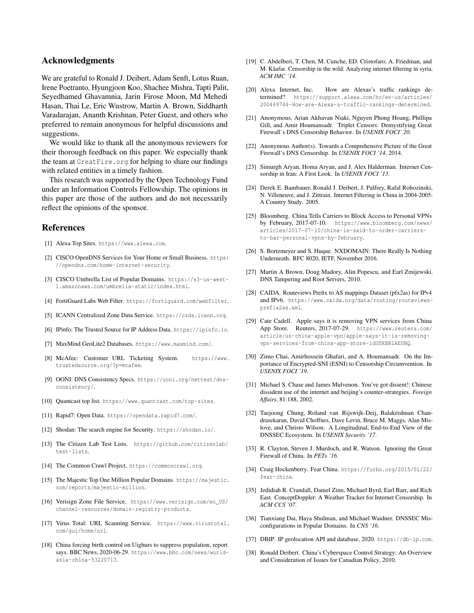### Acknowledgments

We are grateful to Ronald J. Deibert, Adam Senft, Lotus Ruan, Irene Poetranto, Hyungjoon Koo, Shachee Mishra, Tapti Palit, Seyedhamed Ghavamnia, Jarin Firose Moon, Md Mehedi Hasan, Thai Le, Eric Wustrow, Martin A. Brown, Siddharth Varadarajan, Ananth Krishnan, Peter Guest, and others who preferred to remain anonymous for helpful discussions and suggestions.

We would like to thank all the anonymous reviewers for their thorough feedback on this paper. We especially thank the team at GreatFire.org for helping to share our findings with related entities in a timely fashion.

This research was supported by the Open Technology Fund under an Information Controls Fellowship. The opinions in this paper are those of the authors and do not necessarily reflect the opinions of the sponsor.

### References

- <span id="page-13-16"></span>[1] Alexa Top Sites. <https://www.alexa.com>.
- <span id="page-13-34"></span>[2] CISCO OpenDNS Services for Your Home or Small Business. [https:](https://opendns.com/home-internet-security) [//opendns.com/home-internet-security](https://opendns.com/home-internet-security).
- <span id="page-13-18"></span>[3] CISCO Umbrella List of Popular Domains. [https://s3-us-west-](https://s3-us-west-1.amazonaws.com/umbrella-static/index.html)[1.amazonaws.com/umbrella-static/index.html](https://s3-us-west-1.amazonaws.com/umbrella-static/index.html).
- <span id="page-13-21"></span>[4] FortiGuard Labs Web Filter. <https://fortiguard.com/webfilter>.
- <span id="page-13-13"></span>[5] ICANN Centralized Zone Data Service. <https://czds.icann.org>.
- <span id="page-13-32"></span>[6] IPinfo: The Trusted Source for IP Address Data. <https://ipinfo.io>.
- <span id="page-13-22"></span>[7] MaxMind GeoLite2 Databases. <https://www.maxmind.com/>.
- <span id="page-13-24"></span>[8] McAfee: Customer URL Ticketing System. [https://www.](https://www.trustedsource.org/?p=mcafee) [trustedsource.org/?p=mcafee](https://www.trustedsource.org/?p=mcafee).
- <span id="page-13-31"></span>[9] OONI: DNS Consistency Specs. [https://ooni.org/nettest/dns](https://ooni.org/nettest/dns-consistency/)[consistency/](https://ooni.org/nettest/dns-consistency/).
- <span id="page-13-19"></span>[10] Quantcast top list. <https://www.quantcast.com/top-sites>.
- <span id="page-13-36"></span>[11] Rapid7: Open Data. <https://opendata.rapid7.com/>.
- <span id="page-13-37"></span>[12] Shodan: The search engine for Security. <https://shodan.io/>.
- <span id="page-13-14"></span>[13] The Citizen Lab Test Lists. [https://github.com/citizenlab/](https://github.com/citizenlab/test-lists) [test-lists](https://github.com/citizenlab/test-lists).
- <span id="page-13-15"></span>[14] The Common Crawl Project. <https://commoncrawl.org>.
- <span id="page-13-17"></span>[15] The Majestic Top One Million Popular Domains. [https://majestic.](https://majestic.com/reports/majestic-million) [com/reports/majestic-million](https://majestic.com/reports/majestic-million).
- <span id="page-13-12"></span>[16] Verisign Zone File Service. [https://www.verisign.com/en\\_US/](https://www.verisign.com/en_US/channel-resources/domain-registry-products) [channel-resources/domain-registry-products](https://www.verisign.com/en_US/channel-resources/domain-registry-products).
- <span id="page-13-25"></span>[17] Virus Total: URL Scanning Service. [https://www.virustotal.](https://www.virustotal.com/gui/home/url) [com/gui/home/url](https://www.virustotal.com/gui/home/url).
- <span id="page-13-11"></span>[18] China forcing birth control on Uighurs to suppress population, report says. BBC News, 2020-06-29. [https://www.bbc.com/news/world](https://www.bbc.com/news/world-asia-china-53220713)[asia-china-53220713](https://www.bbc.com/news/world-asia-china-53220713).
- <span id="page-13-6"></span>[19] C. Abdelberi, T. Chen, M. Cunche, ED. Cristofaro, A. Friedman, and M. Kâafar. Censorship in the wild: Analyzing internet filtering in syria. *ACM IMC '14*.
- <span id="page-13-20"></span>[20] Alexa Internet, Inc. How are Alexas's traffic rankings determined? [https://support.alexa.com/hc/en-us/articles/](https://support.alexa.com/hc/en-us/articles/200449744-How-are-Alexa-s-traffic-rankings-determined) [200449744-How-are-Alexa-s-traffic-rankings-determined](https://support.alexa.com/hc/en-us/articles/200449744-How-are-Alexa-s-traffic-rankings-determined).
- <span id="page-13-3"></span>[21] Anonymous, Arian Akhavan Niaki, Nguyen Phong Hoang, Phillipa Gill, and Amir Houmansadr. Triplet Censors: Demystifying Great Firewall's DNS Censorship Behavior. In *USENIX FOCI' 20*.
- <span id="page-13-4"></span>[22] Anonymous Author(s). Towards a Comprehensive Picture of the Great Firewall's DNS Censorship. In *USENIX FOCI '14*, 2014.
- <span id="page-13-7"></span>[23] Simurgh Aryan, Homa Aryan, and J. Alex Halderman. Internet Censorship in Iran: A First Look. In *USENIX FOCI '13*.
- <span id="page-13-0"></span>[24] Derek E. Bambauer, Ronald J. Deibert, J. Palfrey, Rafal Rohozinski, N. Villeneuve, and J. Zittrain. Internet Filtering in China in 2004-2005: A Country Study. 2005.
- <span id="page-13-29"></span>[25] Bloomberg. China Tells Carriers to Block Access to Personal VPNs by February, 2017-07-10. [https://www.bloomberg.com/news/](https://www.bloomberg.com/news/articles/2017-07-10/china-is-said-to-order-carriers-to-bar-personal-vpns-by-february) [articles/2017-07-10/china-is-said-to-order-carriers](https://www.bloomberg.com/news/articles/2017-07-10/china-is-said-to-order-carriers-to-bar-personal-vpns-by-february)[to-bar-personal-vpns-by-february](https://www.bloomberg.com/news/articles/2017-07-10/china-is-said-to-order-carriers-to-bar-personal-vpns-by-february).
- <span id="page-13-5"></span>[26] S. Bortzmeyer and S. Huque. NXDOMAIN: There Really Is Nothing Underneath. RFC 8020, IETF, November 2016.
- <span id="page-13-9"></span>[27] Martin A Brown, Doug Madory, Alin Popescu, and Earl Zmijewski. DNS Tampering and Root Servers, 2010.
- <span id="page-13-35"></span>[28] CAIDA. Routeviews Prefix to AS mappings Dataset (pfx2as) for IPv4 and IPv6. [https://www.caida.org/data/routing/routeviews](https://www.caida.org/data/routing/routeviews-prefix2as.xml)[prefix2as.xml](https://www.caida.org/data/routing/routeviews-prefix2as.xml).
- <span id="page-13-30"></span>[29] Cate Cadell. Apple says it is removing VPN services from China App Store. Reuters, 2017-07-29. [https://www.reuters.com/](https://www.reuters.com/article/us-china-apple-vpn/apple-says-it-is-removing-vpn-services-from-china-app-store-idUSKBN1AE0BQ) [article/us-china-apple-vpn/apple-says-it-is-removing](https://www.reuters.com/article/us-china-apple-vpn/apple-says-it-is-removing-vpn-services-from-china-app-store-idUSKBN1AE0BQ)[vpn-services-from-china-app-store-idUSKBN1AE0BQ](https://www.reuters.com/article/us-china-apple-vpn/apple-says-it-is-removing-vpn-services-from-china-app-store-idUSKBN1AE0BQ).
- <span id="page-13-26"></span>[30] Zimo Chai, Amirhossein Ghafari, and A. Houmansadr. On the Importance of Encrypted-SNI (ESNI) to Censorship Circumvention. In *USENIX FOCI '19*.
- <span id="page-13-1"></span>[31] Michael S. Chase and James Mulvenon. You've got dissent!: Chinese dissident use of the internet and beijing's counter-strategies. *Foreign Affairs*, 81:188, 2002.
- <span id="page-13-27"></span>[32] Taejoong Chung, Roland van Rijswijk-Deij, Balakrishnan Chandrasekaran, David Choffnes, Dave Levin, Bruce M. Maggs, Alan Mislove, and Christo Wilson. A Longitudinal, End-to-End View of the DNSSEC Ecosystem. In *USENIX Security '17*.
- <span id="page-13-8"></span>[33] R. Clayton, Steven J. Murdoch, and R. Watson. Ignoring the Great Firewall of China. In *PETs '16*.
- <span id="page-13-23"></span>[34] Craig Hockenberry. Fear China. [https://furbo.org/2015/01/22/](https://furbo.org/2015/01/22/fear-china) [fear-china](https://furbo.org/2015/01/22/fear-china).
- <span id="page-13-10"></span>[35] Jedidiah R. Crandall, Daniel Zinn, Michael Byrd, Earl Barr, and Rich East. ConceptDoppler: A Weather Tracker for Internet Censorship. In *ACM CCS '07*.
- <span id="page-13-28"></span>[36] Tianxiang Dai, Haya Shulman, and Michael Waidner. DNSSEC Misconfigurations in Popular Domains. In *CNS '16*.
- <span id="page-13-33"></span>[37] DBIP. IP geolocation API and database, 2020. <https://db-ip.com>.
- <span id="page-13-2"></span>[38] Ronald Deibert. China's Cyberspace Control Strategy: An Overview and Consideration of Issues for Canadian Policy, 2010.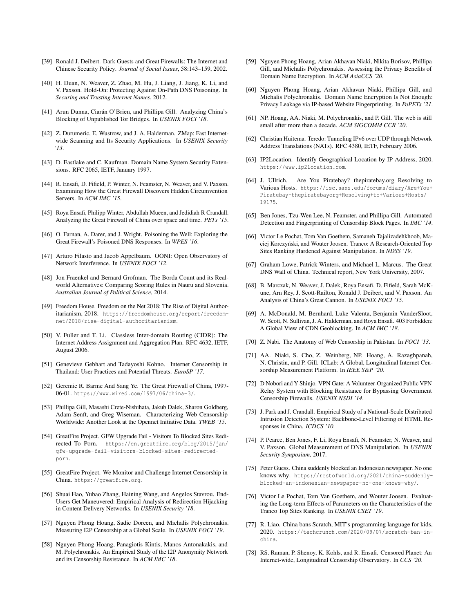- <span id="page-14-1"></span>[39] Ronald J. Deibert. Dark Guests and Great Firewalls: The Internet and Chinese Security Policy. *Journal of Social Issues*, 58:143–159, 2002.
- <span id="page-14-14"></span>[40] H. Duan, N. Weaver, Z. Zhao, M. Hu, J. Liang, J. Jiang, K. Li, and V. Paxson. Hold-On: Protecting Against On-Path DNS Poisoning. In *Securing and Trusting Internet Names*, 2012.
- <span id="page-14-2"></span>[41] Arun Dunna, Ciarán O'Brien, and Phillipa Gill. Analyzing China's Blocking of Unpublished Tor Bridges. In *USENIX FOCI '18*.
- <span id="page-14-35"></span>[42] Z. Durumeric, E. Wustrow, and J. A. Halderman. ZMap: Fast Internetwide Scanning and Its Security Applications. In *USENIX Security '13*.
- <span id="page-14-30"></span>[43] D. Eastlake and C. Kaufman. Domain Name System Security Extensions. RFC 2065, IETF, January 1997.
- <span id="page-14-3"></span>[44] R. Ensafi, D. Fifield, P. Winter, N. Feamster, N. Weaver, and V. Paxson. Examining How the Great Firewall Discovers Hidden Circumvention Servers. In *ACM IMC '15*.
- <span id="page-14-12"></span>[45] Roya Ensafi, Philipp Winter, Abdullah Mueen, and Jedidiah R Crandall. Analyzing the Great Firewall of China over space and time. *PETs '15*.
- <span id="page-14-15"></span>[46] O. Farnan, A. Darer, and J. Wright. Poisoning the Well: Exploring the Great Firewall's Poisoned DNS Responses. In *WPES '16*.
- <span id="page-14-32"></span>[47] Arturo Filasto and Jacob Appelbaum. OONI: Open Observatory of Network Interference. In *USENIX FOCI '12*.
- <span id="page-14-21"></span>[48] Jon Fraenkel and Bernard Grofman. The Borda Count and its Realworld Alternatives: Comparing Scoring Rules in Nauru and Slovenia. *Australian Journal of Political Science*, 2014.
- <span id="page-14-0"></span>[49] Freedom House. Freedom on the Net 2018: The Rise of Digital Authoritarianism, 2018. [https://freedomhouse.org/report/freedom](https://freedomhouse.org/report/freedom-net/2018/rise-digital-authoritarianism)[net/2018/rise-digital-authoritarianism](https://freedomhouse.org/report/freedom-net/2018/rise-digital-authoritarianism).
- <span id="page-14-36"></span>[50] V. Fuller and T. Li. Classless Inter-domain Routing (CIDR): The Internet Address Assignment and Aggregation Plan. RFC 4632, IETF, August 2006.
- <span id="page-14-7"></span>[51] Genevieve Gebhart and Tadayoshi Kohno. Internet Censorship in Thailand: User Practices and Potential Threats. *EuroSP '17*.
- <span id="page-14-17"></span>[52] Geremie R. Barme And Sang Ye. The Great Firewall of China, 1997- 06-01. <https://www.wired.com/1997/06/china-3/>.
- <span id="page-14-37"></span>[53] Phillipa Gill, Masashi Crete-Nishihata, Jakub Dalek, Sharon Goldberg, Adam Senft, and Greg Wiseman. Characterizing Web Censorship Worldwide: Another Look at the Opennet Initiative Data. *TWEB '15*.
- <span id="page-14-23"></span>[54] GreatFire Project. GFW Upgrade Fail - Visitors To Blocked Sites Redirected To Porn. [https://en.greatfire.org/blog/2015/jan/](https://en.greatfire.org/blog/2015/jan/gfw-upgrade-fail-visitors-blocked-sites-redirected-porn) [gfw-upgrade-fail-visitors-blocked-sites-redirected](https://en.greatfire.org/blog/2015/jan/gfw-upgrade-fail-visitors-blocked-sites-redirected-porn)[porn](https://en.greatfire.org/blog/2015/jan/gfw-upgrade-fail-visitors-blocked-sites-redirected-porn).
- <span id="page-14-39"></span>[55] GreatFire Project. We Monitor and Challenge Internet Censorship in China. <https://greatfire.org>.
- <span id="page-14-31"></span>[56] Shuai Hao, Yubao Zhang, Haining Wang, and Angelos Stavrou. End-Users Get Maneuvered: Empirical Analysis of Redirection Hijacking in Content Delivery Networks. In *USENIX Security '18*.
- <span id="page-14-5"></span>[57] Nguyen Phong Hoang, Sadie Doreen, and Michalis Polychronakis. Measuring I2P Censorship at a Global Scale. In *USENIX FOCI '19*.
- <span id="page-14-27"></span>[58] Nguyen Phong Hoang, Panagiotis Kintis, Manos Antonakakis, and M. Polychronakis. An Empirical Study of the I2P Anonymity Network and its Censorship Resistance. In *ACM IMC '18*.
- <span id="page-14-6"></span>[59] Nguyen Phong Hoang, Arian Akhavan Niaki, Nikita Borisov, Phillipa Gill, and Michalis Polychronakis. Assessing the Privacy Benefits of Domain Name Encryption. In *ACM AsiaCCS '20*.
- <span id="page-14-28"></span>[60] Nguyen Phong Hoang, Arian Akhavan Niaki, Phillipa Gill, and Michalis Polychronakis. Domain Name Encryption Is Not Enough: Privacy Leakage via IP-based Website Fingerprinting. In *PoPETs '21*.
- <span id="page-14-29"></span>[61] NP. Hoang, AA. Niaki, M. Polychronakis, and P. Gill. The web is still small after more than a decade. *ACM SIGCOMM CCR '20*.
- <span id="page-14-24"></span>[62] Christian Huitema. Teredo: Tunneling IPv6 over UDP through Network Address Translations (NATs). RFC 4380, IETF, February 2006.
- <span id="page-14-33"></span>[63] IP2Location. Identify Geographical Location by IP Address, 2020. <https://www.ip2location.com>.
- <span id="page-14-26"></span>[64] J. Ullrich. Are You Piratebay? thepiratebay.org Resolving to Various Hosts. [https://isc.sans.edu/forums/diary/Are+You+](https://isc.sans.edu/forums/diary/Are+You+Piratebay+thepiratebayorg+Resolving+to+Various+Hosts/19175) [Piratebay+thepiratebayorg+Resolving+to+Various+Hosts/](https://isc.sans.edu/forums/diary/Are+You+Piratebay+thepiratebayorg+Resolving+to+Various+Hosts/19175) [19175](https://isc.sans.edu/forums/diary/Are+You+Piratebay+thepiratebayorg+Resolving+to+Various+Hosts/19175).
- <span id="page-14-8"></span>[65] Ben Jones, Tzu-Wen Lee, N. Feamster, and Phillipa Gill. Automated Detection and Fingerprinting of Censorship Block Pages. In *IMC '14*.
- <span id="page-14-19"></span>[66] Victor Le Pochat, Tom Van Goethem, Samaneh Tajalizadehkhoob, Maciej Korczyński, and Wouter Joosen. Tranco: A Research-Oriented Top Sites Ranking Hardened Against Manipulation. In *NDSS '19*.
- <span id="page-14-16"></span>[67] Graham Lowe, Patrick Winters, and Michael L. Marcus. The Great DNS Wall of China. Technical report, New York University, 2007.
- <span id="page-14-4"></span>[68] B. Marczak, N. Weaver, J. Dalek, Roya Ensafi, D. Fifield, Sarah McKune, Arn Rey, J. Scott-Railton, Ronald J. Deibert, and V. Paxson. An Analysis of China's Great Cannon. In *USENIX FOCI '15*.
- <span id="page-14-25"></span>[69] A. McDonald, M. Bernhard, Luke Valenta, Benjamin VanderSloot, W. Scott, N. Sullivan, J. A. Halderman, and Roya Ensafi. 403 Forbidden: A Global View of CDN Geoblocking. In *ACM IMC '18*.
- <span id="page-14-10"></span>[70] Z. Nabi. The Anatomy of Web Censorship in Pakistan. In *FOCI '13*.
- <span id="page-14-9"></span>[71] AA. Niaki, S. Cho, Z. Weinberg, NP. Hoang, A. Razaghpanah, N. Christin, and P. Gill. ICLab: A Global, Longitudinal Internet Censorship Measurement Platform. In *IEEE S&P '20*.
- <span id="page-14-18"></span>[72] D Nobori and Y Shinjo. VPN Gate: A Volunteer-Organized Public VPN Relay System with Blocking Resistance for Bypassing Government Censorship Firewalls. *USENIX NSDI '14*.
- <span id="page-14-13"></span>[73] J. Park and J. Crandall. Empirical Study of a National-Scale Distributed Intrusion Detection System: Backbone-Level Filtering of HTML Responses in China. *ICDCS '10*.
- <span id="page-14-11"></span>[74] P. Pearce, Ben Jones, F. Li, Roya Ensafi, N. Feamster, N. Weaver, and V. Paxson. Global Measurement of DNS Manipulation. In *USENIX Security Symposium*, 2017.
- <span id="page-14-34"></span>[75] Peter Guess. China suddenly blocked an Indonesian newspaper. No one knows why. [https://restofworld.org/2021/china-suddenly](https://restofworld.org/2021/china-suddenly-blocked-an-indonesian-newspaper-no-one-knows-why/)[blocked-an-indonesian-newspaper-no-one-knows-why/](https://restofworld.org/2021/china-suddenly-blocked-an-indonesian-newspaper-no-one-knows-why/).
- <span id="page-14-20"></span>[76] Victor Le Pochat, Tom Van Goethem, and Wouter Joosen. Evaluating the Long-term Effects of Parameters on the Characteristics of the Tranco Top Sites Ranking. In *USENIX CSET '19*.
- <span id="page-14-38"></span>[77] R. Liao. China bans Scratch, MIT's programming language for kids, 2020. [https://techcrunch.com/2020/09/07/scratch-ban-in](https://techcrunch.com/2020/09/07/scratch-ban-in-china)[china](https://techcrunch.com/2020/09/07/scratch-ban-in-china).
- <span id="page-14-22"></span>[78] RS. Raman, P. Shenoy, K. Kohls, and R. Ensafi. Censored Planet: An Internet-wide, Longitudinal Censorship Observatory. In *CCS '20*.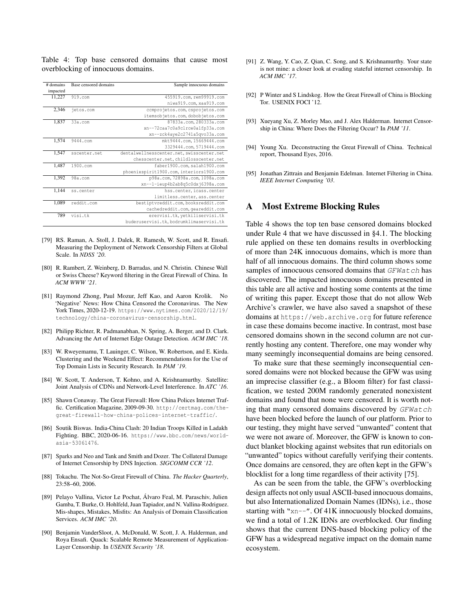<span id="page-15-10"></span>Table 4: Top base censored domains that cause most overblocking of innocuous domains.

| # domains | Base censored domains | Sample innocuous domains                 |
|-----------|-----------------------|------------------------------------------|
| impacted  |                       |                                          |
| 11,227    | $919.$ com            | 455919.com, rem99919.com                 |
|           |                       | niwa919.com, xaa919.com                  |
| 2,346     | jetos.com             | comprojetos.com, csprojetos.com          |
|           |                       | itemsobjetos.com, dobobjetos.com         |
| 1,837     | $33a$ .com            | 87833a.com, 280333a.com                  |
|           |                       | xn--72caa7c0a9clrce0a1fp33a.com          |
|           |                       | xn--zck4aye2c2741a5qvo33a.com            |
| 1,574     | 9444.com              | mkt9444.com, 15669444.com                |
|           |                       | 3329444.com, 5719444.com                 |
| 1,547     | sscenter.net          | dentalwellnesscenter.net.swisscenter.net |
|           |                       | chesscenter.net.childlosscenter.net      |
| 1,487     | 1900.com              | faber1900.com, salah1900.com             |
|           |                       | phoenixspirit1900.com, interiors1900.com |
| 1.392     | $98a$ .com            | p98a.com, 72898a.com, 1098a.com          |
|           |                       | xn--1-ieup4b2ab8q5c0dxj6398a.com         |
| 1,144     | ss.center             | hss.center.icass.center                  |
|           |                       | limitless.center, ass.center             |
| 1,089     | reddit.com            | bestiptvreddit.com, booksreddit.com      |
|           |                       | cachedreddit.com, geareddit.com          |
| 789       | visi.tk               | erervisi.tk, yetkiliservisi.tk           |
|           |                       | buderuservisi.tk.bodrumklimaservisi.tk   |

- <span id="page-15-1"></span>[79] RS. Raman, A. Stoll, J. Dalek, R. Ramesh, W. Scott, and R. Ensafi. Measuring the Deployment of Network Censorship Filters at Global Scale. In *NDSS '20*.
- <span id="page-15-7"></span>[80] R. Rambert, Z. Weinberg, D. Barradas, and N. Christin. Chinese Wall or Swiss Cheese? Keyword filtering in the Great Firewall of China. In *ACM WWW '21*.
- <span id="page-15-13"></span>[81] Raymond Zhong, Paul Mozur, Jeff Kao, and Aaron Krolik. No 'Negative' News: How China Censored the Coronavirus. The New York Times, 2020-12-19. [https://www.nytimes.com/2020/12/19/](https://www.nytimes.com/2020/12/19/technology/china-coronavirus-censorship.html) [technology/china-coronavirus-censorship.html](https://www.nytimes.com/2020/12/19/technology/china-coronavirus-censorship.html).
- <span id="page-15-17"></span>[82] Philipp Richter, R. Padmanabhan, N. Spring, A. Berger, and D. Clark. Advancing the Art of Internet Edge Outage Detection. *ACM IMC '18*.
- <span id="page-15-12"></span>[83] W. Rweyemamu, T. Lauinger, C. Wilson, W. Robertson, and E. Kirda. Clustering and the Weekend Effect: Recommendations for the Use of Top Domain Lists in Security Research. In *PAM '19*.
- <span id="page-15-8"></span>[84] W. Scott, T. Anderson, T. Kohno, and A. Krishnamurthy. Satellite: Joint Analysis of CDNs and Network-Level Interference. In *ATC '16*.
- <span id="page-15-4"></span>[85] Shawn Conaway. The Great Firewall: How China Polices Internet Traffic. Certification Magazine, 2009-09-30. [http://certmag.com/the](http://certmag.com/the-great-firewall-how-china-polices-internet-traffic/)[great-firewall-how-china-polices-internet-traffic/](http://certmag.com/the-great-firewall-how-china-polices-internet-traffic/).
- <span id="page-15-18"></span>[86] Soutik Biswas. India-China Clash: 20 Indian Troops Killed in Ladakh Fighting. BBC, 2020-06-16. [https://www.bbc.com/news/world](https://www.bbc.com/news/world-asia-53061476)[asia-53061476](https://www.bbc.com/news/world-asia-53061476).
- <span id="page-15-2"></span>[87] Sparks and Neo and Tank and Smith and Dozer. The Collateral Damage of Internet Censorship by DNS Injection. *SIGCOMM CCR '12*.
- <span id="page-15-16"></span>[88] Tokachu. The Not-So-Great Firewall of China. *The Hacker Quarterly*, 23:58–60, 2006.
- <span id="page-15-14"></span>[89] Pelayo Vallina, Victor Le Pochat, Álvaro Feal, M. Paraschiv, Julien Gamba, T. Burke, O. Hohlfeld, Juan Tapiador, and N. Vallina-Rodriguez. Mis-shapes, Mistakes, Misfits: An Analysis of Domain Classification Services. *ACM IMC '20*.
- <span id="page-15-15"></span>[90] Benjamin VanderSloot, A. McDonald, W. Scott, J. A. Halderman, and Roya Ensafi. Quack: Scalable Remote Measurement of Application-Layer Censorship. In *USENIX Security '18*.
- <span id="page-15-9"></span>[91] Z. Wang, Y. Cao, Z. Qian, C. Song, and S. Krishnamurthy. Your state is not mine: a closer look at evading stateful internet censorship. In *ACM IMC '17*.
- <span id="page-15-0"></span>[92] P Winter and S Lindskog. How the Great Firewall of China is Blocking Tor. USENIX FOCI '12.
- <span id="page-15-6"></span>[93] Xueyang Xu, Z. Morley Mao, and J. Alex Halderman. Internet Censorship in China: Where Does the Filtering Occur? In *PAM '11*.
- <span id="page-15-5"></span>[94] Young Xu. Deconstructing the Great Firewall of China. Technical report, Thousand Eyes, 2016.
- <span id="page-15-3"></span>[95] Jonathan Zittrain and Benjamin Edelman. Internet Filtering in China. *IEEE Internet Computing '03*.

### <span id="page-15-11"></span>A Most Extreme Blocking Rules

Table [4](#page-15-10) shows the top ten base censored domains blocked under Rule 4 that we have discussed in [§4.1.](#page-3-0) The blocking rule applied on these ten domains results in overblocking of more than 24K innocuous domains, which is more than half of all innocuous domains. The third column shows some samples of innocuous censored domains that GFWatch has discovered. The impacted innocuous domains presented in this table are all active and hosting some contents at the time of writing this paper. Except those that do not allow Web Archive's crawler, we have also saved a snapshot of these domains at https://web.archive.org for future reference in case these domains become inactive. In contrast, most base censored domains shown in the second column are not currently hosting any content. Therefore, one may wonder why many seemingly inconsequential domains are being censored.

To make sure that these seemingly inconsequential censored domains were not blocked because the GFW was using an imprecise classifier (e.g., a Bloom filter) for fast classification, we tested 200M randomly generated nonexistent domains and found that none were censored. It is worth noting that many censored domains discovered by GFWatch have been blocked before the launch of our platform. Prior to our testing, they might have served "unwanted" content that we were not aware of. Moreover, the GFW is known to conduct blanket blocking against websites that run editorials on "unwanted" topics without carefully verifying their contents. Once domains are censored, they are often kept in the GFW's blocklist for a long time regardless of their activity [\[75\]](#page-14-34).

As can be seen from the table, the GFW's overblocking design affects not only usual ASCII-based innocuous domains, but also Internationalized Domain Names (IDNs), i.e., those starting with "xn--". Of 41K innocuously blocked domains, we find a total of 1.2K IDNs are overblocked. Our finding shows that the current DNS-based blocking policy of the GFW has a widespread negative impact on the domain name ecosystem.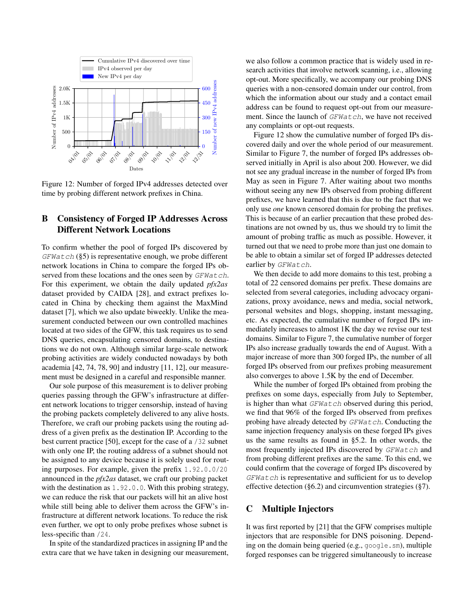<span id="page-16-2"></span>

Figure 12: Number of forged IPv4 addresses detected over time by probing different network prefixes in China.

# <span id="page-16-0"></span>B Consistency of Forged IP Addresses Across Different Network Locations

To confirm whether the pool of forged IPs discovered by  $GFWatch$  ([§5\)](#page-5-0) is representative enough, we probe different network locations in China to compare the forged IPs observed from these locations and the ones seen by GFWatch. For this experiment, we obtain the daily updated *pfx2as* dataset provided by CAIDA [\[28\]](#page-13-35), and extract prefixes located in China by checking them against the MaxMind dataset [\[7\]](#page-13-22), which we also update biweekly. Unlike the measurement conducted between our own controlled machines located at two sides of the GFW, this task requires us to send DNS queries, encapsulating censored domains, to destinations we do not own. Although similar large-scale network probing activities are widely conducted nowadays by both academia [\[42,](#page-14-35) [74,](#page-14-11) [78,](#page-14-22) [90\]](#page-15-15) and industry [\[11,](#page-13-36) [12\]](#page-13-37), our measurement must be designed in a careful and responsible manner.

Our sole purpose of this measurement is to deliver probing queries passing through the GFW's infrastructure at different network locations to trigger censorship, instead of having the probing packets completely delivered to any alive hosts. Therefore, we craft our probing packets using the routing address of a given prefix as the destination IP. According to the best current practice [\[50\]](#page-14-36), except for the case of a /32 subnet with only one IP, the routing address of a subnet should not be assigned to any device because it is solely used for routing purposes. For example, given the prefix 1.92.0.0/20 announced in the *pfx2as* dataset, we craft our probing packet with the destination as 1.92.0.0. With this probing strategy, we can reduce the risk that our packets will hit an alive host while still being able to deliver them across the GFW's infrastructure at different network locations. To reduce the risk even further, we opt to only probe prefixes whose subnet is less-specific than /24.

In spite of the standardized practices in assigning IP and the extra care that we have taken in designing our measurement, we also follow a common practice that is widely used in research activities that involve network scanning, i.e., allowing opt-out. More specifically, we accompany our probing DNS queries with a non-censored domain under our control, from which the information about our study and a contact email address can be found to request opt-out from our measurement. Since the launch of GFWatch, we have not received any complaints or opt-out requests.

Figure [12](#page-16-2) show the cumulative number of forged IPs discovered daily and over the whole period of our measurement. Similar to Figure [7,](#page-5-1) the number of forged IPs addresses observed initially in April is also about 200. However, we did not see any gradual increase in the number of forged IPs from May as seen in Figure [7.](#page-5-1) After waiting about two months without seeing any new IPs observed from probing different prefixes, we have learned that this is due to the fact that we only use *one* known censored domain for probing the prefixes. This is because of an earlier precaution that these probed destinations are not owned by us, thus we should try to limit the amount of probing traffic as much as possible. However, it turned out that we need to probe more than just one domain to be able to obtain a similar set of forged IP addresses detected earlier by GFWatch.

We then decide to add more domains to this test, probing a total of 22 censored domains per prefix. These domains are selected from several categories, including advocacy organizations, proxy avoidance, news and media, social network, personal websites and blogs, shopping, instant messaging, etc. As expected, the cumulative number of forged IPs immediately increases to almost 1K the day we revise our test domains. Similar to Figure [7,](#page-5-1) the cumulative number of forger IPs also increase gradually towards the end of August. With a major increase of more than 300 forged IPs, the number of all forged IPs observed from our prefixes probing measurement also converges to above 1.5K by the end of December.

While the number of forged IPs obtained from probing the prefixes on some days, especially from July to September, is higher than what GFWatch observed during this period, we find that 96% of the forged IPs observed from prefixes probing have already detected by  $GFWatch$ . Conducting the same injection frequency analysis on these forged IPs gives us the same results as found in [§5.2.](#page-6-3) In other words, the most frequently injected IPs discovered by GFWatch and from probing different prefixes are the same. To this end, we could confirm that the coverage of forged IPs discovered by GFWatch is representative and sufficient for us to develop effective detection ([§6.2\)](#page-8-0) and circumvention strategies ([§7\)](#page-9-0).

### <span id="page-16-1"></span>C Multiple Injectors

It was first reported by [\[21\]](#page-13-3) that the GFW comprises multiple injectors that are responsible for DNS poisoning. Depending on the domain being queried (e.g., google.sm), multiple forged responses can be triggered simultaneously to increase